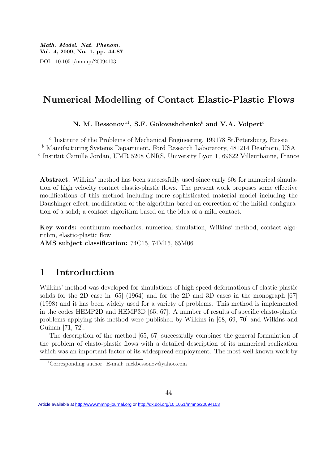### Numerical Modelling of Contact Elastic-Plastic Flows

N. M. Bessonov $^{a1}$ , S.F. Golovashchenko $^b$  and V.A. Volpert $^c$ 

<sup>a</sup> Institute of the Problems of Mechanical Engineering, 199178 St.Petersburg, Russia <sup>b</sup> Manufacturing Systems Department, Ford Research Laboratory, 481214 Dearborn, USA c Institut Camille Jordan, UMR 5208 CNRS, University Lyon 1, 69622 Villeurbanne, France

Abstract. Wilkins' method has been successfully used since early 60s for numerical simulation of high velocity contact elastic-plastic flows. The present work proposes some effective modifications of this method including more sophisticated material model including the Baushinger effect; modification of the algorithm based on correction of the initial configuration of a solid; a contact algorithm based on the idea of a mild contact.

Key words: continuum mechanics, numerical simulation, Wilkins' method, contact algorithm, elastic-plastic flow

AMS subject classification: 74C15, 74M15, 65M06

# 1 Introduction

Wilkins' method was developed for simulations of high speed deformations of elastic-plastic solids for the 2D case in [65] (1964) and for the 2D and 3D cases in the monograph [67] (1998) and it has been widely used for a variety of problems. This method is implemented in the codes HEMP2D and HEMP3D [65, 67]. A number of results of specific elasto-plastic problems applying this method were published by Wilkins in [68, 69, 70] and Wilkins and Guinan [71, 72].

The description of the method [65, 67] successfully combines the general formulation of the problem of elasto-plastic flows with a detailed description of its numerical realization which was an important factor of its widespread employment. The most well known work by

Article available at<http://www.mmnp-journal.org>or<http://dx.doi.org/10.1051/mmnp/20094103>

<sup>1</sup>Corresponding author. E-mail: nickbessonov@yahoo.com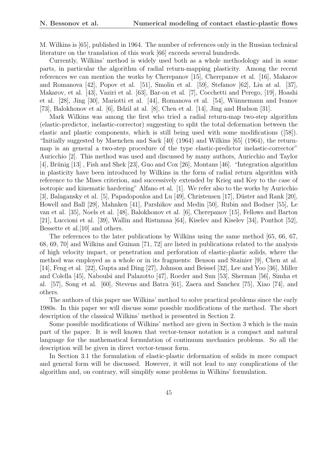M. Wilkins is [65], published in 1964. The number of references only in the Russian technical literature on the translation of this work [66] exceeds several hundreds.

Currently, Wilkins' method is widely used both as a whole methodology and in some parts, in particular the algorithm of radial return-mapping plasticity. Among the recent references we can mention the works by Cherepanov [15], Cherepanov et al. [16], Makarov and Romanova [42], Popov et al. [51], Smolin et al. [59], Stefanov [62], Liu at al. [37], Makarov, et al. [43], Vaziri et al. [63], Bar-on et al. [7], Cocchetti and Perego, [19], Hoashi et al. [28], Jing [30], Mariotti et al. [44], Romanova et al. [54], Wünnemann and Ivanov [73], Balokhonov et al. [6], Bdzil at al. [8], Chen et al. [14], Jing and Hudson [31].

Mark Wilkins was among the first who tried a radial return-map two-step algorithm (elastic-predictor, inelastic-corrector) suggesting to split the total deformation between the elastic and plastic components, which is still being used with some modifications ([58]). "Initially suggested by Maenchen and Sack [40] (1964) and Wilkins [65] (1964), the returnmap is an general a two-step procedure of the type elastic-predictor inelastic-corrector" Auricchio [2]. This method was used and discussed by many authors, Auricchio and Taylor [4], Brünig [13], Fish and Shek [23], Guo and Cox [26], Montans [46]. "Integration algorithm in plasticity have been introduced by Wilkins in the form of radial return algorithm with reference to the Mises criterion, and successively extended by Krieg and Key to the case of isotropic and kinematic hardering" Alfano et al. [1]. We refer also to the works by Auricchio [3], Balagansky et al. [5], Papadopoulos and Lu [49], Christensen [17], Düster and Rank [20], Howell and Ball [29], Mahnken [41], Parshikov and Medin [50], Rubin and Bodner [55], Le van et al. [35], Noels et al. [48], Balokhonov et al. [6], Cherepanov [15], Fellows and Barton [21], Luccioni et al. [39], Wallin and Ristnmaa [64], Kiselev and Kiselev [34], Ponthot [52], Bessette et al.[10] and others.

The references to the later publications by Wilkins using the same method [65, 66, 67, 68, 69, 70] and Wilkins and Guinan [71, 72] are listed in publications related to the analysis of high velocity impact, or penetration and perforation of elastic-plastic solids, where the method was employed as a whole or in its fragments: Benson and Stainier [9], Chen at al. [14], Feng et al. [22], Gupta and Ding [27], Johnson and Beissel [32], Lee and Yoo [36], Miller and Colella [45], Naboulsi and Palazotto [47], Roeder and Sun [53], Sherman [56], Simha et al. [57], Song et al. [60], Stevens and Batra [61], Zaera and Sanchez [75], Xiao [74], and others.

The authors of this paper use Wilkins' method to solve practical problems since the early 1980s. In this paper we will discuss some possible modifications of the method. The short description of the classical Wilkins' method is presented in Section 2.

Some possible modifications of Wilkins' method are given in Section 3 which is the main part of the paper. It is well known that vector-tensor notation is a compact and natural language for the mathematical formulation of continuum mechanics problems. So all the description will be given in direct vector-tensor form.

In Section 3.1 the formulation of elastic-plastic deformation of solids in more compact and general form will be discussed. However, it will not lead to any complications of the algorithm and, on contrary, will simplify some problems in Wilkins' formulation.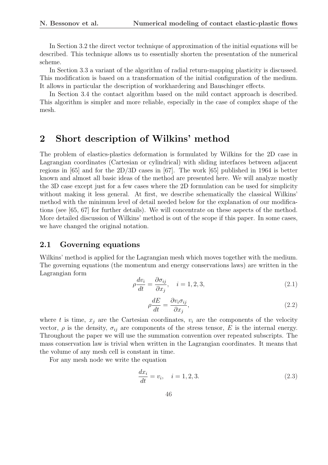In Section 3.2 the direct vector technique of approximation of the initial equations will be described. This technique allows us to essentially shorten the presentation of the numerical scheme.

In Section 3.3 a variant of the algorithm of radial return-mapping plasticity is discussed. This modification is based on a transformation of the initial configuration of the medium. It allows in particular the description of workhardering and Bauschinger effects.

In Section 3.4 the contact algorithm based on the mild contact approach is described. This algorithm is simpler and more reliable, especially in the case of complex shape of the mesh.

## 2 Short description of Wilkins' method

The problem of elastics-plastics deformation is formulated by Wilkins for the 2D case in Lagrangian coordinates (Cartesian or cylindrical) with sliding interfaces between adjacent regions in [65] and for the 2D/3D cases in [67]. The work [65] published in 1964 is better known and almost all basic ideas of the method are presented here. We will analyze mostly the 3D case except just for a few cases where the 2D formulation can be used for simplicity without making it less general. At first, we describe schematically the classical Wilkins' method with the minimum level of detail needed below for the explanation of our modifications (see [65, 67] for further details). We will concentrate on these aspects of the method. More detailed discussion of Wilkins' method is out of the scope if this paper. In some cases, we have changed the original notation.

#### 2.1 Governing equations

Wilkins' method is applied for the Lagrangian mesh which moves together with the medium. The governing equations (the momentum and energy conservations laws) are written in the Lagrangian form

$$
\rho \frac{dv_i}{dt} = \frac{\partial \sigma_{ij}}{\partial x_j}, \quad i = 1, 2, 3,
$$
\n(2.1)

$$
\rho \frac{dE}{dt} = \frac{\partial v_i \sigma_{ij}}{\partial x_j},\tag{2.2}
$$

where t is time,  $x_i$  are the Cartesian coordinates,  $v_i$  are the components of the velocity vector,  $\rho$  is the density,  $\sigma_{ij}$  are components of the stress tensor, E is the internal energy. Throughout the paper we will use the summation convention over repeated subscripts. The mass conservation law is trivial when written in the Lagrangian coordinates. It means that the volume of any mesh cell is constant in time.

For any mesh node we write the equation

$$
\frac{dx_i}{dt} = v_i, \quad i = 1, 2, 3. \tag{2.3}
$$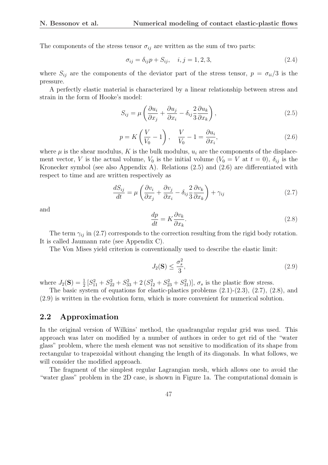The components of the stress tensor  $\sigma_{ij}$  are written as the sum of two parts:

$$
\sigma_{ij} = \delta_{ij} p + S_{ij}, \quad i, j = 1, 2, 3,
$$
\n(2.4)

where  $S_{ij}$  are the components of the deviator part of the stress tensor,  $p = \sigma_{ii}/3$  is the pressure.

A perfectly elastic material is characterized by a linear relationship between stress and strain in the form of Hooke's model:

$$
S_{ij} = \mu \left( \frac{\partial u_i}{\partial x_j} + \frac{\partial u_j}{\partial x_i} - \delta_{ij} \frac{2}{3} \frac{\partial u_k}{\partial x_k} \right),\tag{2.5}
$$

$$
p = K\left(\frac{V}{V_0} - 1\right), \quad \frac{V}{V_0} - 1 = \frac{\partial u_i}{\partial x_i},\tag{2.6}
$$

where  $\mu$  is the shear modulus, K is the bulk modulus,  $u_i$  are the components of the displacement vector, V is the actual volume,  $V_0$  is the initial volume  $(V_0 = V$  at  $t = 0)$ ,  $\delta_{ij}$  is the Kronecker symbol (see also Appendix A). Relations (2.5) and (2.6) are differentiated with respect to time and are written respectively as

$$
\frac{dS_{ij}}{dt} = \mu \left( \frac{\partial v_i}{\partial x_j} + \frac{\partial v_j}{\partial x_i} - \delta_{ij} \frac{2}{3} \frac{\partial v_k}{\partial x_k} \right) + \gamma_{ij}
$$
\n(2.7)

and

$$
\frac{dp}{dt} = K \frac{\partial v_k}{\partial x_k}.\tag{2.8}
$$

The term  $\gamma_{ij}$  in (2.7) corresponds to the correction resulting from the rigid body rotation. It is called Jaumann rate (see Appendix C).

The Von Mises yield criterion is conventionally used to describe the elastic limit:

$$
J_2(\mathbf{S}) \le \frac{\sigma_s^2}{3},\tag{2.9}
$$

where  $J_2(S) = \frac{1}{2} [S_{11}^2 + S_{22}^2 + S_{33}^2 + 2(S_{12}^2 + S_{23}^2 + S_{31}^2)], \sigma_s$  is the plastic flow stress.

The basic system of equations for elastic-plastics problems  $(2.1)-(2.3)$ ,  $(2.7)$ ,  $(2.8)$ , and (2.9) is written in the evolution form, which is more convenient for numerical solution.

#### 2.2 Approximation

In the original version of Wilkins' method, the quadrangular regular grid was used. This approach was later on modified by a number of authors in order to get rid of the "water glass" problem, where the mesh element was not sensitive to modification of its shape from rectangular to trapezoidal without changing the length of its diagonals. In what follows, we will consider the modified approach.

The fragment of the simplest regular Lagrangian mesh, which allows one to avoid the "water glass" problem in the 2D case, is shown in Figure 1a. The computational domain is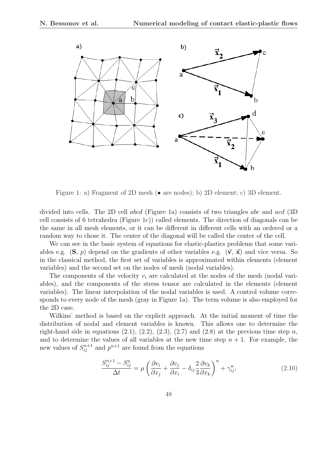

Figure 1: a) Fragment of 2D mesh (• are nodes); b) 2D element; c) 3D element.

divided into cells. The 2D cell abcd (Figure 1a) consists of two triangles abc and acd (3D cell consists of 6 tetrahedra (Figure 1c)) called elements. The direction of diagonals can be the same in all mesh elements, or it can be different in different cells with an ordered or a random way to chose it. The center of the diagonal will be called the center of the cell.

We can see in the basic system of equations for elastic-plastics problems that some variables e.g. (S, p) depend on the gradients of other variables e.g. ( $\vec{v}$ ,  $\vec{x}$ ) and vice versa. So in the classical method, the first set of variables is approximated within elements (element variables) and the second set on the nodes of mesh (nodal variables).

The components of the velocity  $v_i$  are calculated at the nodes of the mesh (nodal variables), and the components of the stress tensor are calculated in the elements (element variables). The linear interpolation of the nodal variables is used. A control volume corresponds to every node of the mesh (gray in Figure 1a). The term volume is also employed for the 2D case.

Wilkins' method is based on the explicit approach. At the initial moment of time the distribution of nodal and element variables is known. This allows one to determine the right-hand side in equations  $(2.1)$ ,  $(2.2)$ ,  $(2.3)$ ,  $(2.7)$  and  $(2.8)$  at the previous time step n, and to determine the values of all variables at the new time step  $n + 1$ . For example, the new values of  $S_{ij}^{n+1}$  and  $p^{n+1}$  are found from the equations

$$
\frac{S_{ij}^{n+1} - S_{ij}^n}{\Delta t} = \mu \left( \frac{\partial v_i}{\partial x_j} + \frac{\partial v_j}{\partial x_i} - \delta_{ij} \frac{2}{3} \frac{\partial v_k}{\partial x_k} \right)^n + \gamma_{ij}^n, \tag{2.10}
$$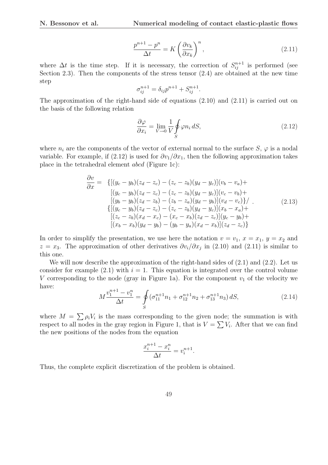$$
\frac{p^{n+1} - p^n}{\Delta t} = K \left(\frac{\partial v_k}{\partial x_k}\right)^n,\tag{2.11}
$$

where  $\Delta t$  is the time step. If it is necessary, the correction of  $S_{ij}^{n+1}$  is performed (see Section 2.3). Then the components of the stress tensor (2.4) are obtained at the new time step

$$
\sigma_{ij}^{n+1} = \delta_{ij} p^{n+1} + S_{ij}^{n+1}.
$$

The approximation of the right-hand side of equations (2.10) and (2.11) is carried out on the basis of the following relation

$$
\frac{\partial \varphi}{\partial x_i} = \lim_{V \to 0} \frac{1}{V} \oint_S \varphi n_i \, dS,\tag{2.12}
$$

where  $n_i$  are the components of the vector of external normal to the surface  $S$ ,  $\varphi$  is a nodal variable. For example, if (2.12) is used for  $\partial v_1/\partial x_1$ , then the following approximation takes place in the tetrahedral element abcd (Figure 1c):

$$
\frac{\partial v}{\partial x} = \left\{ \left[ (y_c - y_b)(z_d - z_c) - (z_c - z_b)(y_d - y_c) \right](v_b - v_a) + \right. \\ \left. \left[ (y_c - y_b)(z_d - z_c) - (z_c - z_b)(y_d - y_c) \right](v_c - v_b) + \right. \\ \left. \left[ (y_b - y_b)(z_d - z_b) - (z_b - z_a)(y_d - y_b) \right](v_d - v_c) \right\} / \right. \\ \left. \left\{ \left[ (y_c - y_b)(z_d - z_c) - (z_c - z_b)(y_d - y_c) \right](x_b - x_a) + \right. \\ \left. \left[ (z_c - z_b)(x_d - x_c) - (x_c - x_b)(z_d - z_c) \right](y_c - y_b) + \right. \\ \left. \left[ (x_b - x_b)(y_d - y_b) - (y_b - y_a)(x_d - x_b) \right](z_d - z_c) \right\}
$$

In order to simplify the presentation, we use here the notation  $v = v_1$ ,  $x = x_1$ ,  $y = x_2$  and  $z = x_3$ . The approximation of other derivatives  $\partial v_i / \partial x_j$  in (2.10) and (2.11) is similar to this one.

We will now describe the approximation of the right-hand sides of  $(2.1)$  and  $(2.2)$ . Let us consider for example (2.1) with  $i = 1$ . This equation is integrated over the control volume V corresponding to the node (gray in Figure 1a). For the component  $v_1$  of the velocity we have:

$$
M\frac{v_1^{n+1} - v_1^n}{\Delta t} = \oint\limits_{S} (\sigma_{11}^{n+1} n_1 + \sigma_{12}^{n+1} n_2 + \sigma_{13}^{n+1} n_3) \, dS,\tag{2.14}
$$

.

where  $M = \sum \rho_i V_i$  is the mass corresponding to the given node; the summation is with where  $M = \sum p_i v_i$  is the mass corresponding to the given hode, the summation is with<br>respect to all nodes in the gray region in Figure 1, that is  $V = \sum V_i$ . After that we can find the new positions of the nodes from the equation

$$
\frac{x_i^{n+1}-x_i^n}{\Delta t}=v_i^{n+1}
$$

Thus, the complete explicit discretization of the problem is obtained.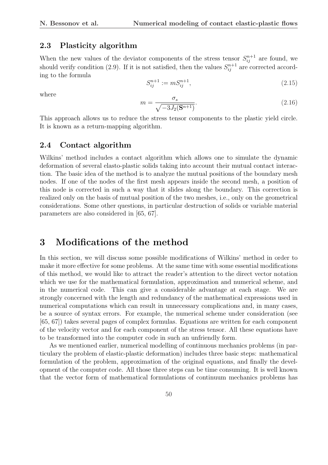#### 2.3 Plasticity algorithm

When the new values of the deviator components of the stress tensor  $S_{ij}^{n+1}$  are found, we should verify condition (2.9). If it is not satisfied, then the values  $S_{ij}^{n+1}$  are corrected according to the formula

$$
S_{ij}^{n+1} := m S_{ij}^{n+1},\tag{2.15}
$$

where

$$
m = \frac{\sigma_s}{\sqrt{-3J_2(S^{n+1})}}.\t(2.16)
$$

This approach allows us to reduce the stress tensor components to the plastic yield circle. It is known as a return-mapping algorithm.

#### 2.4 Contact algorithm

Wilkins' method includes a contact algorithm which allows one to simulate the dynamic deformation of several elasto-plastic solids taking into account their mutual contact interaction. The basic idea of the method is to analyze the mutual positions of the boundary mesh nodes. If one of the nodes of the first mesh appears inside the second mesh, a position of this node is corrected in such a way that it slides along the boundary. This correction is realized only on the basis of mutual position of the two meshes, i.e., only on the geometrical considerations. Some other questions, in particular destruction of solids or variable material parameters are also considered in [65, 67].

### 3 Modifications of the method

In this section, we will discuss some possible modifications of Wilkins' method in order to make it more effective for some problems. At the same time with some essential modifications of this method, we would like to attract the reader's attention to the direct vector notation which we use for the mathematical formulation, approximation and numerical scheme, and in the numerical code. This can give a considerable advantage at each stage. We are strongly concerned with the length and redundancy of the mathematical expressions used in numerical computations which can result in unnecessary complications and, in many cases, be a source of syntax errors. For example, the numerical scheme under consideration (see [65, 67]) takes several pages of complex formulas. Equations are written for each component of the velocity vector and for each component of the stress tensor. All these equations have to be transformed into the computer code in such an unfriendly form.

As we mentioned earlier, numerical modelling of continuous mechanics problems (in particulary the problem of elastic-plastic deformation) includes three basic steps: mathematical formulation of the problem, approximation of the original equations, and finally the development of the computer code. All those three steps can be time consuming. It is well known that the vector form of mathematical formulations of continuum mechanics problems has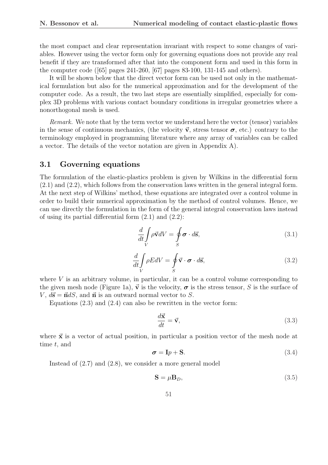the most compact and clear representation invariant with respect to some changes of variables. However using the vector form only for governing equations does not provide any real benefit if they are transformed after that into the component form and used in this form in the computer code ([65] pages 241-260, [67] pages 83-100, 131-145 and others).

It will be shown below that the direct vector form can be used not only in the mathematical formulation but also for the numerical approximation and for the development of the computer code. As a result, the two last steps are essentially simplified, especially for complex 3D problems with various contact boundary conditions in irregular geometries where a nonorthogonal mesh is used.

Remark. We note that by the term vector we understand here the vector (tensor) variables in the sense of continuous mechanics, (the velocity  $\vec{v}$ , stress tensor  $\sigma$ , etc.) contrary to the terminology employed in programming literature where any array of variables can be called a vector. The details of the vector notation are given in Appendix A).

#### 3.1 Governing equations

The formulation of the elastic-plastics problem is given by Wilkins in the differential form (2.1) and (2.2), which follows from the conservation laws written in the general integral form. At the next step of Wilkins' method, these equations are integrated over a control volume in order to build their numerical approximation by the method of control volumes. Hence, we can use directly the formulation in the form of the general integral conservation laws instead of using its partial differential form  $(2.1)$  and  $(2.2)$ :

$$
\frac{d}{dt} \int_{V} \rho \vec{\mathbf{v}} dV = \oint_{S} \boldsymbol{\sigma} \cdot d\vec{\mathbf{s}},
$$
\n(3.1)

$$
\frac{d}{dt} \int_{V} \rho E dV = \oint_{S} \vec{\mathbf{v}} \cdot \boldsymbol{\sigma} \cdot d\vec{\mathbf{s}},
$$
\n(3.2)

where  $V$  is an arbitrary volume, in particular, it can be a control volume corresponding to the given mesh node (Figure 1a),  $\vec{v}$  is the velocity,  $\sigma$  is the stress tensor, S is the surface of  $V, d\vec{s} = \vec{n}dS$ , and  $\vec{n}$  is an outward normal vector to S.

Equations (2.3) and (2.4) can also be rewritten in the vector form:

$$
\frac{d\vec{\mathbf{x}}}{dt} = \vec{\mathbf{v}},\tag{3.3}
$$

where  $\vec{x}$  is a vector of actual position, in particular a position vector of the mesh node at time  $t$ , and

$$
\boldsymbol{\sigma} = \mathbf{I}p + \mathbf{S}.\tag{3.4}
$$

Instead of (2.7) and (2.8), we consider a more general model

$$
\mathbf{S} = \mu \mathbf{B}_D,\tag{3.5}
$$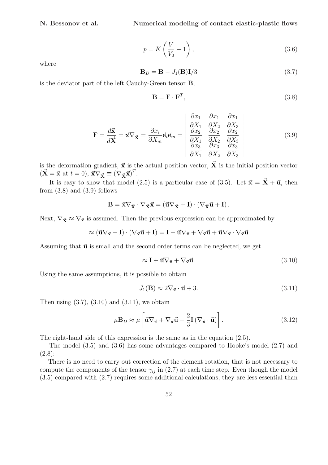$$
p = K\left(\frac{V}{V_0} - 1\right),\tag{3.6}
$$

where

$$
\mathbf{B}_D = \mathbf{B} - J_1(\mathbf{B})\mathbf{I}/3\tag{3.7}
$$

is the deviator part of the left Cauchy-Green tensor B,

$$
\mathbf{B} = \mathbf{F} \cdot \mathbf{F}^T,\tag{3.8}
$$

$$
\mathbf{F} = \frac{d\vec{\mathbf{x}}}{d\vec{\mathbf{X}}} = \vec{\mathbf{x}} \nabla_{\vec{\mathbf{X}}} = \frac{\partial x_i}{\partial X_m} \vec{\mathbf{e}}_i \vec{\mathbf{e}}_m = \begin{vmatrix} \frac{\partial x_1}{\partial X_1} & \frac{\partial x_1}{\partial X_2} & \frac{\partial x_1}{\partial X_3} \\ \frac{\partial x_2}{\partial X_1} & \frac{\partial x_2}{\partial X_2} & \frac{\partial x_2}{\partial X_3} \\ \frac{\partial x_3}{\partial X_1} & \frac{\partial x_3}{\partial X_2} & \frac{\partial x_3}{\partial X_3} \end{vmatrix}
$$
(3.9)

is the deformation gradient,  $\vec{x}$  is the actual position vector,  $\vec{X}$  is the initial position vector  $(\vec{\mathbf{X}} = \vec{\mathbf{x}} \text{ at } t = 0), \vec{\mathbf{x}} \nabla_{\vec{\mathbf{X}}} \equiv (\nabla_{\vec{\mathbf{X}}} \vec{\mathbf{x}})^T.$ 

It is easy to show that model (2.5) is a particular case of (3.5). Let  $\vec{x} = \vec{X} + \vec{u}$ , then from  $(3.8)$  and  $(3.9)$  follows

$$
\mathbf{B} = \vec{\mathbf{x}} \nabla_{\vec{\mathbf{X}}} \cdot \nabla_{\vec{\mathbf{X}}} \vec{\mathbf{x}} = \left(\vec{\mathbf{u}} \nabla_{\vec{\mathbf{X}}} + \mathbf{I}\right) \cdot \left(\nabla_{\vec{\mathbf{X}}} \vec{\mathbf{u}} + \mathbf{I}\right).
$$

Next,  $\nabla_{\vec{x}} \approx \nabla_{\vec{x}}$  is assumed. Then the previous expression can be approximated by

$$
\approx (\vec{u}\nabla_{\vec{x}} + I)\cdot(\nabla_{\vec{x}}\vec{u} + I) = I + \vec{u}\nabla_{\vec{x}} + \nabla_{\vec{x}}\vec{u} + \vec{u}\nabla_{\vec{x}}\cdot\nabla_{\vec{x}}\vec{u}
$$

Assuming that  $\vec{u}$  is small and the second order terms can be neglected, we get

$$
\approx \mathbf{I} + \vec{\mathbf{u}} \nabla_{\vec{\mathbf{x}}} + \nabla_{\vec{\mathbf{x}}} \vec{\mathbf{u}}.
$$
 (3.10)

Using the same assumptions, it is possible to obtain

$$
J_1(\mathbf{B}) \approx 2\nabla_{\vec{\mathbf{x}}} \cdot \vec{\mathbf{u}} + 3. \tag{3.11}
$$

Then using  $(3.7)$ ,  $(3.10)$  and  $(3.11)$ , we obtain

$$
\mu \mathbf{B}_D \approx \mu \left[ \vec{\mathbf{u}} \nabla_{\vec{\mathbf{x}}} + \nabla_{\vec{\mathbf{x}}} \vec{\mathbf{u}} - \frac{2}{3} \mathbf{I} \left( \nabla_{\vec{\mathbf{x}}} \cdot \vec{\mathbf{u}} \right) \right]. \tag{3.12}
$$

The right-hand side of this expression is the same as in the equation (2.5).

The model (3.5) and (3.6) has some advantages compared to Hooke's model (2.7) and (2.8):

— There is no need to carry out correction of the element rotation, that is not necessary to compute the components of the tensor  $\gamma_{ij}$  in (2.7) at each time step. Even though the model (3.5) compared with (2.7) requires some additional calculations, they are less essential than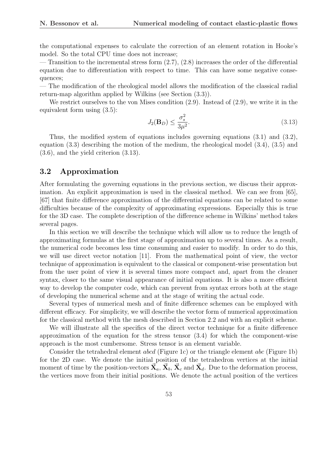the computational expenses to calculate the correction of an element rotation in Hooke's model. So the total CPU time does not increase;

— Transition to the incremental stress form  $(2.7), (2.8)$  increases the order of the differential equation due to differentiation with respect to time. This can have some negative consequences;

— The modification of the rheological model allows the modification of the classical radial return-map algorithm applied by Wilkins (see Section (3.3)).

We restrict ourselves to the von Mises condition (2.9). Instead of (2.9), we write it in the equivalent form using (3.5):

$$
J_2(\mathbf{B}_D) \le \frac{\sigma_s^2}{3\mu^2}.\tag{3.13}
$$

Thus, the modified system of equations includes governing equations (3.1) and (3.2), equation (3.3) describing the motion of the medium, the rheological model (3.4), (3.5) and (3.6), and the yield criterion (3.13).

#### 3.2 Approximation

After formulating the governing equations in the previous section, we discuss their approximation. An explicit approximation is used in the classical method. We can see from [65], [67] that finite difference approximation of the differential equations can be related to some difficulties because of the complexity of approximating expressions. Especially this is true for the 3D case. The complete description of the difference scheme in Wilkins' method takes several pages.

In this section we will describe the technique which will allow us to reduce the length of approximating formulas at the first stage of approximation up to several times. As a result, the numerical code becomes less time consuming and easier to modify. In order to do this, we will use direct vector notation [11]. From the mathematical point of view, the vector technique of approximation is equivalent to the classical or component-wise presentation but from the user point of view it is several times more compact and, apart from the cleaner syntax, closer to the same visual appearance of initial equations. It is also a more efficient way to develop the computer code, which can prevent from syntax errors both at the stage of developing the numerical scheme and at the stage of writing the actual code.

Several types of numerical mesh and of finite difference schemes can be employed with different efficacy. For simplicity, we will describe the vector form of numerical approximation for the classical method with the mesh described in Section 2.2 and with an explicit scheme.

We will illustrate all the specifics of the direct vector technique for a finite difference approximation of the equation for the stress tensor (3.4) for which the component-wise approach is the most cumbersome. Stress tensor is an element variable.

Consider the tetrahedral element abcd (Figure 1c) or the triangle element abc (Figure 1b) for the 2D case. We denote the initial position of the tetrahedron vertices at the initial moment of time by the position-vectors  $\vec{X}_a$ ,  $\vec{X}_b$ ,  $\vec{X}_c$  and  $\vec{X}_d$ . Due to the deformation process, the vertices move from their initial positions. We denote the actual position of the vertices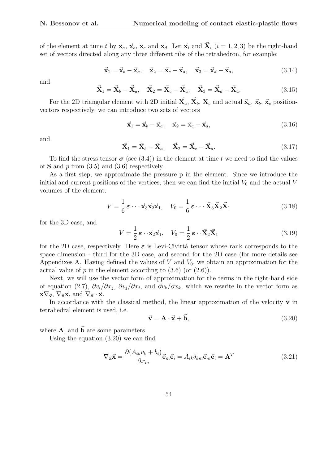of the element at time t by  $\vec{x}_a$ ,  $\vec{x}_b$ ,  $\vec{x}_c$  and  $\vec{x}_d$ . Let  $\vec{x}_i$  and  $\vec{X}_i$   $(i = 1, 2, 3)$  be the right-hand set of vectors directed along any three different ribs of the tetrahedron, for example:

$$
\vec{\mathbf{x}}_1 = \vec{\mathbf{x}}_b - \vec{\mathbf{x}}_a, \quad \vec{\mathbf{x}}_2 = \vec{\mathbf{x}}_c - \vec{\mathbf{x}}_a, \quad \vec{\mathbf{x}}_3 = \vec{\mathbf{x}}_d - \vec{\mathbf{x}}_a,\tag{3.14}
$$

and

$$
\vec{\mathbf{X}}_1 = \vec{\mathbf{X}}_b - \vec{\mathbf{X}}_a, \quad \vec{\mathbf{X}}_2 = \vec{\mathbf{X}}_c - \vec{\mathbf{X}}_a, \quad \vec{\mathbf{X}}_3 = \vec{\mathbf{X}}_d - \vec{\mathbf{X}}_a. \tag{3.15}
$$

For the 2D triangular element with 2D initial  $\vec{X}_a$ ,  $\vec{X}_b$ ,  $\vec{X}_c$  and actual  $\vec{x}_a$ ,  $\vec{x}_b$ ,  $\vec{x}_c$  positionvectors respectively, we can introduce two sets of vectors

$$
\vec{\mathbf{x}}_1 = \vec{\mathbf{x}}_b - \vec{\mathbf{x}}_a, \quad \vec{\mathbf{x}}_2 = \vec{\mathbf{x}}_c - \vec{\mathbf{x}}_a,\tag{3.16}
$$

and

$$
\vec{\mathbf{X}}_1 = \vec{\mathbf{X}}_b - \vec{\mathbf{X}}_a, \quad \vec{\mathbf{X}}_2 = \vec{\mathbf{X}}_c - \vec{\mathbf{X}}_a. \tag{3.17}
$$

To find the stress tensor  $\sigma$  (see (3.4)) in the element at time t we need to find the values of **S** and  $p$  from  $(3.5)$  and  $(3.6)$  respectively.

As a first step, we approximate the pressure p in the element. Since we introduce the initial and current positions of the vertices, then we can find the initial  $V_0$  and the actual V volumes of the element:

$$
V = \frac{1}{6}\boldsymbol{\varepsilon}\cdots\vec{\mathbf{x}}_3\vec{\mathbf{x}}_2\vec{\mathbf{x}}_1, \quad V_0 = \frac{1}{6}\boldsymbol{\varepsilon}\cdots\vec{\mathbf{X}}_3\vec{\mathbf{X}}_2\vec{\mathbf{X}}_1
$$
(3.18)

for the 3D case, and

$$
V = \frac{1}{2} \boldsymbol{\varepsilon} \cdot \mathbf{\vec{x}}_2 \mathbf{\vec{x}}_1, \quad V_0 = \frac{1}{2} \boldsymbol{\varepsilon} \cdot \mathbf{\vec{X}}_2 \mathbf{\vec{X}}_1 \tag{3.19}
$$

for the 2D case, respectively. Here  $\varepsilon$  is Levi-Civittá tensor whose rank corresponds to the space dimension - third for the 3D case, and second for the 2D case (for more details see Appendixes A. Having defined the values of V and  $V_0$ , we obtain an approximation for the actual value of  $p$  in the element according to  $(3.6)$  (or  $(2.6)$ ).

Next, we will use the vector form of approximation for the terms in the right-hand side of equation (2.7),  $\partial v_i/\partial x_j$ ,  $\partial v_j/\partial x_i$ , and  $\partial v_k/\partial x_k$ , which we rewrite in the vector form as  $\vec{x}\nabla_{\vec{x}}, \nabla_{\vec{x}}\vec{x}, \text{ and } \nabla_{\vec{x}}\cdot\vec{x}.$ 

In accordance with the classical method, the linear approximation of the velocity  $\vec{v}$  in tetrahedral element is used, i.e.

$$
\vec{\mathbf{v}} = \mathbf{A} \cdot \vec{\mathbf{x}} + \vec{\mathbf{b}},\tag{3.20}
$$

where  $\bf{A}$ , and  $\vec{b}$  are some parameters.

Using the equation (3.20) we can find

$$
\nabla_{\vec{\mathbf{x}}} \vec{\mathbf{x}} = \frac{\partial (A_{ik}v_k + b_i)}{\partial x_m} \vec{\mathbf{e}}_m \vec{\mathbf{e}}_i = A_{ik} \delta_{km} \vec{\mathbf{e}}_m \vec{\mathbf{e}}_i = \mathbf{A}^T
$$
(3.21)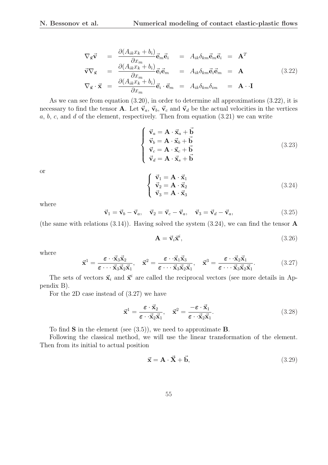$$
\nabla_{\vec{\mathbf{x}}} \vec{\mathbf{v}} = \frac{\partial (A_{ik} x_k + b_i)}{\partial x_m} \vec{\mathbf{e}}_m \vec{\mathbf{e}}_i = A_{ik} \delta_{km} \vec{\mathbf{e}}_m \vec{\mathbf{e}}_i = \mathbf{A}^T
$$
  
\n
$$
\vec{\nabla} \nabla_{\vec{\mathbf{x}}} = \frac{\partial (A_{ik} x_k + b_i)}{\partial x_m} \vec{\mathbf{e}}_i \vec{\mathbf{e}}_m = A_{ik} \delta_{km} \vec{\mathbf{e}}_i \vec{\mathbf{e}}_m = \mathbf{A}
$$
(3.22)  
\n
$$
\nabla_{\vec{\mathbf{x}}} \cdot \vec{\mathbf{x}} = \frac{\partial (A_{ik} x_k + b_i)}{\partial x_m} \vec{\mathbf{e}}_i \cdot \vec{\mathbf{e}}_m = A_{ik} \delta_{km} \delta_{im} = \mathbf{A} \cdot \mathbf{I}
$$

As we can see from equation (3.20), in order to determine all approximations (3.22), it is necessary to find the tensor **A**. Let  $\vec{v}_a$ ,  $\vec{v}_b$ ,  $\vec{v}_c$  and  $\vec{v}_d$  be the actual velocities in the vertices  $a, b, c,$  and  $d$  of the element, respectively. Then from equation  $(3.21)$  we can write

 $\overline{a}$ 

$$
\begin{cases}\n\vec{\mathbf{v}}_a = \mathbf{A} \cdot \vec{\mathbf{x}}_a + \vec{\mathbf{b}} \\
\vec{\mathbf{v}}_b = \mathbf{A} \cdot \vec{\mathbf{x}}_b + \vec{\mathbf{b}} \\
\vec{\mathbf{v}}_c = \mathbf{A} \cdot \vec{\mathbf{x}}_c + \vec{\mathbf{b}} \\
\vec{\mathbf{v}}_d = \mathbf{A} \cdot \vec{\mathbf{x}}_s + \vec{\mathbf{b}}\n\end{cases}
$$
\n(3.23)

or

$$
\begin{cases} \vec{v}_1 = A \cdot \vec{x}_1 \\ \vec{v}_2 = A \cdot \vec{x}_2 \\ \vec{v}_3 = A \cdot \vec{x}_3 \end{cases}
$$
 (3.24)

where

$$
\vec{\mathbf{v}}_1 = \vec{\mathbf{v}}_b - \vec{\mathbf{v}}_a, \quad \vec{\mathbf{v}}_2 = \vec{\mathbf{v}}_c - \vec{\mathbf{v}}_a, \quad \vec{\mathbf{v}}_3 = \vec{\mathbf{v}}_d - \vec{\mathbf{v}}_a,\tag{3.25}
$$

(the same with relations  $(3.14)$ ). Having solved the system  $(3.24)$ , we can find the tensor **A** 

$$
\mathbf{A} = \vec{\mathbf{v}}_i \vec{\mathbf{x}}^i,\tag{3.26}
$$

where

$$
\vec{\mathbf{x}}^1 = \frac{\boldsymbol{\varepsilon} \cdot \vec{\mathbf{x}}_3 \vec{\mathbf{x}}_2}{\boldsymbol{\varepsilon} \cdot \cdot \vec{\mathbf{x}}_3 \vec{\mathbf{x}}_2 \vec{\mathbf{x}}_1}, \quad \vec{\mathbf{x}}^2 = \frac{\boldsymbol{\varepsilon} \cdot \vec{\mathbf{x}}_1 \vec{\mathbf{x}}_3}{\boldsymbol{\varepsilon} \cdot \cdot \vec{\mathbf{x}}_3 \vec{\mathbf{x}}_2 \vec{\mathbf{x}}_1}, \quad \vec{\mathbf{x}}^3 = \frac{\boldsymbol{\varepsilon} \cdot \vec{\mathbf{x}}_2 \vec{\mathbf{x}}_1}{\boldsymbol{\varepsilon} \cdot \cdot \vec{\mathbf{x}}_3 \vec{\mathbf{x}}_2 \vec{\mathbf{x}}_1}.
$$
 (3.27)

The sets of vectors  $\vec{x}_i$  and  $\vec{x}^i$  are called the reciprocal vectors (see more details in Appendix B).

For the 2D case instead of (3.27) we have

$$
\vec{\mathbf{x}}^1 = \frac{\boldsymbol{\varepsilon} \cdot \vec{\mathbf{x}}_2}{\boldsymbol{\varepsilon} \cdot \vec{\mathbf{x}}_2 \vec{\mathbf{x}}_1}, \quad \vec{\mathbf{x}}^2 = \frac{-\boldsymbol{\varepsilon} \cdot \vec{\mathbf{x}}_1}{\boldsymbol{\varepsilon} \cdot \vec{\mathbf{x}}_2 \vec{\mathbf{x}}_1}.
$$
 (3.28)

To find  $S$  in the element (see (3.5)), we need to approximate  $B$ .

Following the classical method, we will use the linear transformation of the element. Then from its initial to actual position

$$
\vec{\mathbf{x}} = \mathbf{A} \cdot \vec{\mathbf{X}} + \vec{\mathbf{b}},\tag{3.29}
$$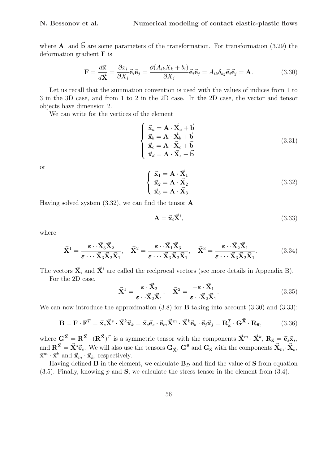where A, and  $\vec{b}$  are some parameters of the transformation. For transformation (3.29) the deformation gradient F is

$$
\mathbf{F} = \frac{d\vec{\mathbf{x}}}{d\vec{\mathbf{X}}} = \frac{\partial x_i}{\partial X_j} \vec{\mathbf{e}}_i \vec{\mathbf{e}}_j = \frac{\partial (A_{ik} X_k + b_i)}{\partial X_j} \vec{\mathbf{e}}_i \vec{\mathbf{e}}_j = A_{ik} \delta_{kj} \vec{\mathbf{e}}_i \vec{\mathbf{e}}_j = \mathbf{A}.
$$
 (3.30)

Let us recall that the summation convention is used with the values of indices from 1 to 3 in the 3D case, and from 1 to 2 in the 2D case. In the 2D case, the vector and tensor objects have dimension 2.

We can write for the vertices of the element

$$
\begin{cases}\n\vec{\mathbf{x}}_a = \mathbf{A} \cdot \vec{\mathbf{X}}_a + \vec{\mathbf{b}} \\
\vec{\mathbf{x}}_b = \mathbf{A} \cdot \vec{\mathbf{X}}_b + \vec{\mathbf{b}} \\
\vec{\mathbf{x}}_c = \mathbf{A} \cdot \vec{\mathbf{X}}_c + \vec{\mathbf{b}} \\
\vec{\mathbf{x}}_d = \mathbf{A} \cdot \vec{\mathbf{X}}_s + \vec{\mathbf{b}}\n\end{cases}
$$
\n(3.31)

or

$$
\begin{cases} \vec{\mathbf{x}}_1 = \mathbf{A} \cdot \vec{\mathbf{X}}_1 \\ \vec{\mathbf{x}}_2 = \mathbf{A} \cdot \vec{\mathbf{X}}_2 \\ \vec{\mathbf{x}}_3 = \mathbf{A} \cdot \vec{\mathbf{X}}_3 \end{cases}
$$
 (3.32)

Having solved system  $(3.32)$ , we can find the tensor **A** 

$$
\mathbf{A} = \vec{\mathbf{x}}_i \vec{\mathbf{X}}^i,\tag{3.33}
$$

where

$$
\vec{X}^{1} = \frac{\varepsilon \cdot \vec{X}_{3} \vec{X}_{2}}{\varepsilon \cdot \cdot \vec{X}_{3} \vec{X}_{2} \vec{X}_{1}}, \quad \vec{X}^{2} = \frac{\varepsilon \cdot \vec{X}_{1} \vec{X}_{3}}{\varepsilon \cdot \cdot \vec{X}_{3} \vec{X}_{2} \vec{X}_{1}}, \quad \vec{X}^{3} = \frac{\varepsilon \cdot \vec{X}_{2} \vec{X}_{1}}{\varepsilon \cdot \cdot \vec{X}_{3} \vec{X}_{2} \vec{X}_{1}}.
$$
(3.34)

The vectors  $\vec{X}_i$  and  $\vec{X}^i$  are called the reciprocal vectors (see more details in Appendix B).

For the 2D case,

$$
\vec{X}^{1} = \frac{\varepsilon \cdot \vec{X}_{2}}{\varepsilon \cdot \vec{X}_{2} \vec{X}_{1}}, \quad \vec{X}^{2} = \frac{-\varepsilon \cdot \vec{X}_{1}}{\varepsilon \cdot \vec{X}_{2} \vec{X}_{1}}.
$$
\n(3.35)

We can now introduce the approximation  $(3.8)$  for **B** taking into account  $(3.30)$  and  $(3.33)$ :

$$
\mathbf{B} = \mathbf{F} \cdot \mathbf{F}^T = \vec{\mathbf{x}}_s \vec{\mathbf{X}}^s \cdot \vec{\mathbf{X}}^k \vec{\mathbf{x}}_k = \vec{\mathbf{x}}_s \vec{\mathbf{e}}_s \cdot \vec{\mathbf{e}}_m \vec{\mathbf{X}}^m \cdot \vec{\mathbf{X}}^k \vec{\mathbf{e}}_k \cdot \vec{\mathbf{e}}_j \vec{\mathbf{x}}_j = \mathbf{R}_{\vec{\mathbf{x}}}^T \cdot \mathbf{G}^{\vec{\mathbf{X}}} \cdot \mathbf{R}_{\vec{\mathbf{x}}},\tag{3.36}
$$

where  $\mathbf{G}^{\vec{\mathbf{X}}} = \mathbf{R}^{\vec{\mathbf{X}}} \cdot (\mathbf{R}^{\vec{\mathbf{X}}})^T$  is a symmetric tensor with the components  $\vec{\mathbf{X}}^m \cdot \vec{\mathbf{X}}^k$ ,  $\mathbf{R}_{\vec{\mathbf{X}}} = \vec{\mathbf{e}}_s \vec{\mathbf{x}}_s$ , and  $\mathbf{R}_{\cdot}^{\vec{\mathbf{X}}} = \vec{\mathbf{X}}^s \vec{\mathbf{e}}_s$ . We will also use the tensors  $\mathbf{G}_{\vec{\mathbf{X}}}, \mathbf{G}^{\vec{\mathbf{x}}}$  and  $\mathbf{G}_{\vec{\mathbf{x}}}$  with the components  $\vec{\mathbf{X}}_m \cdot \vec{\mathbf{X}}_k$ ,  $\vec{\mathbf{x}}^m \cdot \vec{\mathbf{x}}^k$  and  $\vec{\mathbf{x}}_m \cdot \vec{\mathbf{x}}_k$ , respectively.

Having defined **B** in the element, we calculate  $B<sub>D</sub>$  and find the value of **S** from equation  $(3.5)$ . Finally, knowing p and **S**, we calculate the stress tensor in the element from  $(3.4)$ .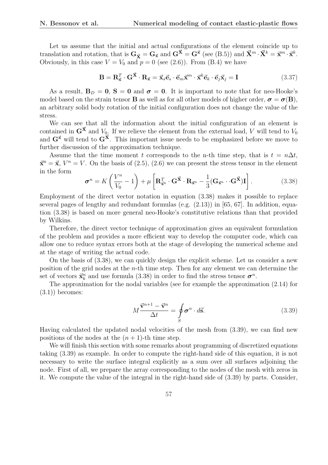Let us assume that the initial and actual configurations of the element coincide up to translation and rotation, that is  $\mathbf{G}_{\vec{\mathbf{X}}} = \mathbf{G}_{\vec{\mathbf{X}}}$  and  $\mathbf{G}^{\vec{\mathbf{X}}} = \mathbf{G}^{\vec{\mathbf{X}}}$  (see (B.5)) and  $\vec{\mathbf{X}}^m \cdot \vec{\mathbf{X}}^k = \vec{\mathbf{x}}^m \cdot \vec{\mathbf{x}}^k$ . Obviously, in this case  $V = V_0$  and  $p = 0$  (see (2.6)). From (B.4) we have

$$
\mathbf{B} = \mathbf{R}_{\vec{\mathbf{x}}}^T \cdot \mathbf{G}^{\vec{\mathbf{X}}} \cdot \mathbf{R}_{\vec{\mathbf{x}}} = \vec{\mathbf{x}}_s \vec{\mathbf{e}}_s \cdot \vec{\mathbf{e}}_m \vec{\mathbf{x}}^m \cdot \vec{\mathbf{x}}^k \vec{\mathbf{e}}_k \cdot \vec{\mathbf{e}}_j \vec{\mathbf{x}}_j = \mathbf{I}
$$
 (3.37)

As a result,  $B_D = 0$ ,  $S = 0$  and  $\sigma = 0$ . It is important to note that for neo-Hooke's model based on the strain tensor **B** as well as for all other models of higher order,  $\sigma = \sigma(B)$ , an arbitrary solid body rotation of the initial configuration does not change the value of the stress.

We can see that all the information about the initial configuration of an element is contained in  $\mathbf{G}^{\vec{X}}$  and  $V_0$ . If we relieve the element from the external load, V will tend to  $V_0$ and  $G^{\vec{x}}$  will tend to  $G^{\vec{x}}$ . This important issue needs to be emphasized before we move to further discussion of the approximation technique.

Assume that the time moment t corresponds to the n-th time step, that is  $t = n\Delta t$ ,  $\vec{x}^n = \vec{x}, V^n = V$ . On the basis of (2.5), (2.6) we can present the stress tensor in the element in the form  $\overline{a}$  $\mathbf{r}$ ·  $\overline{a}$ 

$$
\boldsymbol{\sigma}^{n} = K \left( \frac{V^{n}}{V_{0}} - 1 \right) + \mu \left[ \mathbf{R}_{\vec{\mathbf{x}}^{n}}^{T} \cdot \mathbf{G}^{\vec{\mathbf{x}}} \cdot \mathbf{R}_{\vec{\mathbf{x}}^{n}} - \frac{1}{3} (\mathbf{G}_{\vec{\mathbf{x}}^{n}} \cdot \mathbf{G}^{\vec{\mathbf{x}}}) \mathbf{I} \right]. \tag{3.38}
$$

Employment of the direct vector notation in equation (3.38) makes it possible to replace several pages of lengthy and redundant formulas (e.g.  $(2.13)$ ) in [65, 67]. In addition, equation (3.38) is based on more general neo-Hooke's constitutive relations than that provided by Wilkins.

Therefore, the direct vector technique of approximation gives an equivalent formulation of the problem and provides a more efficient way to develop the computer code, which can allow one to reduce syntax errors both at the stage of developing the numerical scheme and at the stage of writing the actual code.

On the basis of (3.38), we can quickly design the explicit scheme. Let us consider a new position of the grid nodes at the n-th time step. Then for any element we can determine the set of vectors  $\vec{x}_k^n$  and use formula (3.38) in order to find the stress tensor  $\sigma^n$ .

The approximation for the nodal variables (see for example the approximation (2.14) for  $(3.1)$ ) becomes:

$$
M\frac{\vec{\mathbf{v}}^{n+1} - \vec{\mathbf{v}}^n}{\Delta t} = \oint\limits_{S} \boldsymbol{\sigma}^n \cdot d\vec{\mathbf{s}}.\tag{3.39}
$$

Having calculated the updated nodal velocities of the mesh from (3.39), we can find new positions of the nodes at the  $(n + 1)$ -th time step.

We will finish this section with some remarks about programming of discretized equations taking (3.39) as example. In order to compute the right-hand side of this equation, it is not necessary to write the surface integral explicitly as a sum over all surfaces adjoining the node. First of all, we prepare the array corresponding to the nodes of the mesh with zeros in it. We compute the value of the integral in the right-hand side of (3.39) by parts. Consider,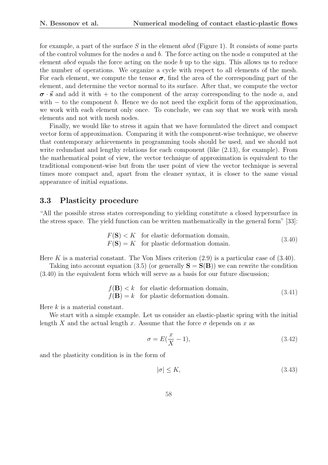for example, a part of the surface S in the element abcd (Figure 1). It consists of some parts of the control volumes for the nodes  $a$  and  $b$ . The force acting on the node  $a$  computed at the element abcd equals the force acting on the node b up to the sign. This allows us to reduce the number of operations. We organize a cycle with respect to all elements of the mesh. For each element, we compute the tensor  $\sigma$ , find the area of the corresponding part of the element, and determine the vector normal to its surface. After that, we compute the vector  $\sigma \cdot \vec{s}$  and add it with + to the component of the array corresponding to the node a, and with  $-$  to the component b. Hence we do not need the explicit form of the approximation, we work with each element only once. To conclude, we can say that we work with mesh elements and not with mesh nodes.

Finally, we would like to stress it again that we have formulated the direct and compact vector form of approximation. Comparing it with the component-wise technique, we observe that contemporary achievements in programming tools should be used, and we should not write redundant and lengthy relations for each component (like  $(2.13)$ , for example). From the mathematical point of view, the vector technique of approximation is equivalent to the traditional component-wise but from the user point of view the vector technique is several times more compact and, apart from the cleaner syntax, it is closer to the same visual appearance of initial equations.

#### 3.3 Plasticity procedure

"All the possible stress states corresponding to yielding constitute a closed hypersurface in the stress space. The yield function can be written mathematically in the general form" [33]:

$$
F(S) < K \quad \text{for elastic deformation domain,}
$$
\n
$$
F(S) = K \quad \text{for plastic deformation domain.}
$$
\n
$$
(3.40)
$$

Here K is a material constant. The Von Mises criterion  $(2.9)$  is a particular case of  $(3.40)$ .

Taking into account equation (3.5) (or generally  $S = S(B)$ ) we can rewrite the condition (3.40) in the equivalent form which will serve as a basis for our future discussion;

$$
f(\mathbf{B}) < k \quad \text{for elastic deformation domain},
$$
\n
$$
f(\mathbf{B}) = k \quad \text{for plastic deformation domain}.\tag{3.41}
$$

Here  $k$  is a material constant.

We start with a simple example. Let us consider an elastic-plastic spring with the initial length X and the actual length x. Assume that the force  $\sigma$  depends on x as

$$
\sigma = E(\frac{x}{X} - 1),\tag{3.42}
$$

and the plasticity condition is in the form of

$$
|\sigma| \le K,\tag{3.43}
$$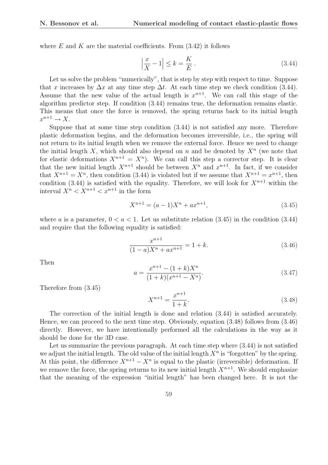where  $E$  and  $K$  are the material coefficients. From  $(3.42)$  it follows

$$
\left|\frac{x}{X} - 1\right| \le k = \frac{K}{E} \,. \tag{3.44}
$$

Let us solve the problem "numerically", that is step by step with respect to time. Suppose that x increases by  $\Delta x$  at any time step  $\Delta t$ . At each time step we check condition (3.44). Assume that the new value of the actual length is  $x^{n+1}$ . We can call this stage of the algorithm predictor step. If condition (3.44) remains true, the deformation remains elastic. This means that once the force is removed, the spring returns back to its initial length  $x^{n+1} \to X$ .

Suppose that at some time step condition (3.44) is not satisfied any more. Therefore plastic deformation begins, and the deformation becomes irreversible, i.e., the spring will not return to its initial length when we remove the external force. Hence we need to change the initial length X, which should also depend on n and be denoted by  $X<sup>n</sup>$  (we note that for elastic deformations  $X^{n+1} = X^n$ ). We can call this step a corrector step. It is clear that the new initial length  $X^{n+1}$  should be between  $X^n$  and  $x^{n+1}$ . In fact, if we consider that  $X^{n+1} = X^n$ , then condition (3.44) is violated but if we assume that  $X^{n+1} = x^{n+1}$ , then condition (3.44) is satisfied with the equality. Therefore, we will look for  $X^{n+1}$  within the interval  $X^n < X^{n+1} < x^{n+1}$  in the form

$$
X^{n+1} = (a-1)X^n + ax^{n+1},
$$
\n(3.45)

where a is a parameter,  $0 < a < 1$ . Let us substitute relation  $(3.45)$  in the condition  $(3.44)$ and require that the following equality is satisfied:

$$
\frac{x^{n+1}}{(1-a)X^n + ax^{n+1}} = 1 + k.\t(3.46)
$$

Then

$$
a = \frac{x^{n+1} - (1+k)X^n}{(1+k)(x^{n+1} - X^n)}.
$$
\n(3.47)

Therefore from (3.45)

$$
X^{n+1} = \frac{x^{n+1}}{1+k}.\tag{3.48}
$$

The correction of the initial length is done and relation (3.44) is satisfied accurately. Hence, we can proceed to the next time step. Obviously, equation (3.48) follows from (3.46) directly. However, we have intentionally performed all the calculations in the way as it should be done for the 3D case.

Let us summarize the previous paragraph. At each time step where  $(3.44)$  is not satisfied we adjust the initial length. The old value of the initial length  $X<sup>n</sup>$  is "forgotten" by the spring. At this point, the difference  $X^{n+1} - X^n$  is equal to the plastic (irreversible) deformation. If we remove the force, the spring returns to its new initial length  $X^{n+1}$ . We should emphasize that the meaning of the expression "initial length" has been changed here. It is not the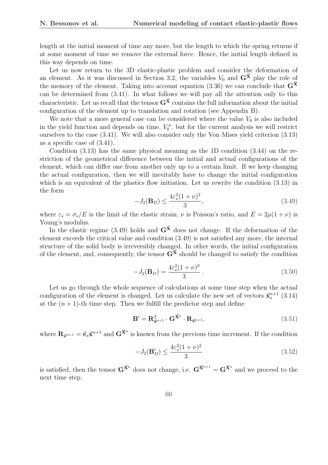length at the initial moment of time any more, but the length to which the spring returns if at some moment of time we remove the external force. Hence, the initial length defined in this way depends on time.

Let us now return to the 3D elastic-plastic problem and consider the deformation of an element. As it was discussed in Section 3.2, the variables  $V_0$  and  $\mathbf{G}^{\vec{\mathbf{X}}}$  play the role of the memory of the element. Taking into account equation (3.36) we can conclude that  $G^{\chi}$ can be determined from (3.41). In what follows we will pay all the attention only to this characteristic. Let us recall that the tensor  $G^{\vec{X}}$  contains the full information about the initial configuration of the element up to translation and rotation (see Appendix B).

We note that a more general case can be considered where the value  $V_0$  is also included in the yield function and depends on time,  $V_0^n$ , but for the current analysis we will restrict ourselves to the case (3.41). We will also consider only the Von Mises yield criterion (3.13) as a specific case of (3.41).

Condition (3.13) has the same physical meaning as the 1D condition (3.44) on the restriction of the geometrical difference between the initial and actual configurations of the element, which can differ one from another only up to a certain limit. If we keep changing the actual configuration, then we will inevitably have to change the initial configuration which is an equivalent of the plastics flow initiation. Let us rewrite the condition  $(3.13)$  in the form

$$
-J_2(\mathbf{B}_D) \le \frac{4\varepsilon_s^2 (1+\nu)^2}{3},\tag{3.49}
$$

where  $\varepsilon_s = \sigma_s/E$  is the limit of the elastic strain,  $\nu$  is Poisson's ratio, and  $E = 2\mu(1 + \nu)$  is Young's modulus.

In the elastic regime (3.49) holds and  $G^{\vec{X}}$  does not change. If the deformation of the element exceeds the critical value and condition (3.49) is not satisfied any more, the internal structure of the solid body is irreversibly changed. In other words, the initial configuration of the element, and, consequently, the tensor  $\vec{G}^{\vec{X}}$  should be changed to satisfy the condition

$$
-J_2(\mathbf{B}_D) = \frac{4\varepsilon_s^2 (1+\nu)^2}{3} \,. \tag{3.50}
$$

Let us go through the whole sequence of calculations at some time step when the actual configuration of the element is changed. Let us calculate the new set of vectors  $\vec{x}_s^{n+1}$  (3.14) at the  $(n + 1)$ -th time step. Then we fulfill the predictor step and define

$$
\mathbf{B}' = \mathbf{R}_{\vec{\mathbf{x}}^{n+1}}^T \cdot \mathbf{G}^{\vec{\mathbf{x}}^n} \cdot \mathbf{R}_{\vec{\mathbf{x}}^{n+1}},\tag{3.51}
$$

where  $\mathbf{R}_{\vec{\mathbf{x}}^{n+1}} = \vec{\mathbf{e}}_s \vec{\mathbf{x}}^{n+1}$  and  $\mathbf{G}^{\vec{\mathbf{X}}^n}$  is known from the previous time increment. If the condition

$$
-J_2(\mathbf{B}'_D) \le \frac{4\varepsilon_s^2 (1+\nu)^2}{3} \tag{3.52}
$$

is satisfied, then the tensor  $G^{\vec{X}^n}$  does not change, i.e.  $G^{\vec{X}^{n+1}} = G^{\vec{X}^n}$  and we proceed to the next time step.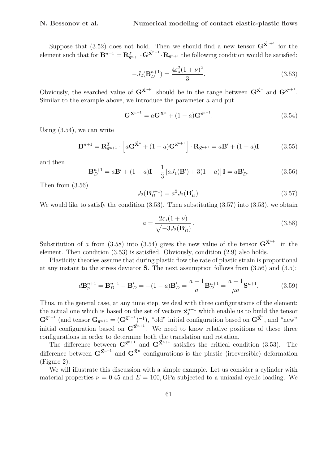Suppose that (3.52) does not hold. Then we should find a new tensor  $G^{\vec{X}^{n+1}}$  for the element such that for  $\mathbf{B}^{n+1} = \mathbf{R}_{\vec{\mathbf{x}}^{n+1}}^T \cdot \mathbf{G}^{\vec{\mathbf{X}}^{n+1}} \cdot \mathbf{R}_{\vec{\mathbf{x}}^{n+1}}$  the following condition would be satisfied:

$$
-J_2(\mathbf{B}_D^{n+1}) = \frac{4\varepsilon_s^2 (1+\nu)^2}{3}.
$$
\n(3.53)

Obviously, the searched value of  $G^{\vec{X}^{n+1}}$  should be in the range between  $G^{\vec{X}^n}$  and  $G^{\vec{X}^{n+1}}$ . Similar to the example above, we introduce the parameter  $a$  and put

$$
\mathbf{G}^{\vec{\mathbf{X}}^{n+1}} = a\mathbf{G}^{\vec{\mathbf{X}}^n} + (1-a)\mathbf{G}^{\vec{\mathbf{x}}^{n+1}}.
$$
\n(3.54)

Using (3.54), we can write

$$
\mathbf{B}^{n+1} = \mathbf{R}_{\vec{\mathbf{x}}^{n+1}}^T \cdot \left[ a\mathbf{G}^{\vec{\mathbf{x}}^n} + (1-a)\mathbf{G}^{\vec{\mathbf{x}}^{n+1}} \right] \cdot \mathbf{R}_{\vec{\mathbf{x}}^{n+1}} = a\mathbf{B}' + (1-a)\mathbf{I}
$$
(3.55)

and then

$$
\mathbf{B}_{D}^{n+1} = a\mathbf{B}' + (1 - a)\mathbf{I} - \frac{1}{3} [aJ_{1}(\mathbf{B}') + 3(1 - a)]\mathbf{I} = a\mathbf{B}'_{D}.
$$
 (3.56)

Then from (3.56)

$$
J_2(\mathbf{B}_D^{n+1}) = a^2 J_2(\mathbf{B}_D').
$$
\n(3.57)

We would like to satisfy the condition  $(3.53)$ . Then substituting  $(3.57)$  into  $(3.53)$ , we obtain

$$
a = \frac{2\varepsilon_s (1+\nu)}{\sqrt{-3J_2(\mathbf{B}_D')}}. \tag{3.58}
$$

Substitution of a from (3.58) into (3.54) gives the new value of the tensor  $G^{\vec{X}^{n+1}}$  in the element. Then condition (3.53) is satisfied. Obviously, condition (2.9) also holds.

Plasticity theories assume that during plastic flow the rate of plastic strain is proportional at any instant to the stress deviator S. The next assumption follows from (3.56) and (3.5):

$$
d\mathbf{B}_p^{n+1} = \mathbf{B}_D^{n+1} - \mathbf{B}_D' = -(1-a)\mathbf{B}_D' = \frac{a-1}{a}\mathbf{B}_D^{n+1} = \frac{a-1}{\mu a}\mathbf{S}^{n+1}.
$$
 (3.59)

Thus, in the general case, at any time step, we deal with three configurations of the element: the actual one which is based on the set of vectors  $\vec{x}_s^{n+1}$  which enable us to build the tensor  $\mathbf{G}^{\vec{\mathbf{x}}^{n+1}}$  (and tensor  $\mathbf{G}_{\vec{\mathbf{x}}^{n+1}} = (\mathbf{G}^{\vec{\mathbf{x}}^{n+1}})^{-1}$ ), "old" initial configuration based on  $\mathbf{G}^{\vec{\mathbf{X}}^n}$ , and "new" initial configuration based on  $G^{\vec{X}^{n+1}}$ . We need to know relative positions of these three configurations in order to determine both the translation and rotation.

The difference between  $G^{\vec{x}^{n+1}}$  and  $G^{\vec{x}^{n+1}}$  satisfies the critical condition (3.53). The difference between  $G^{\vec{X}^{n+1}}$  and  $G^{\vec{X}^n}$  configurations is the plastic (irreversible) deformation (Figure 2).

We will illustrate this discussion with a simple example. Let us consider a cylinder with material properties  $\nu = 0.45$  and  $E = 100$ , GPa subjected to a uniaxial cyclic loading. We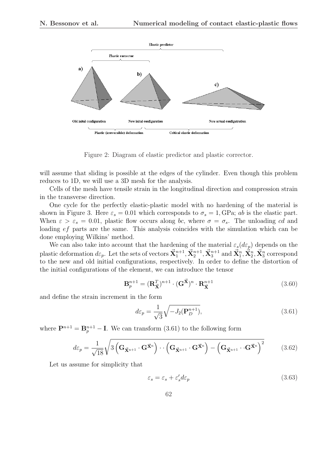

Figure 2: Diagram of elastic predictor and plastic corrector.

will assume that sliding is possible at the edges of the cylinder. Even though this problem reduces to 1D, we will use a 3D mesh for the analysis.

Cells of the mesh have tensile strain in the longitudinal direction and compression strain in the transverse direction.

One cycle for the perfectly elastic-plastic model with no hardening of the material is shown in Figure 3. Here  $\varepsilon_s = 0.01$  which corresponds to  $\sigma_s = 1$ , GPa; *ab* is the elastic part. When  $\varepsilon > \varepsilon_s = 0.01$ , plastic flow occurs along bc, where  $\sigma = \sigma_s$ . The unloading cd and loading *ef* parts are the same. This analysis coincides with the simulation which can be done employing Wilkins' method.

We can also take into account that the hardening of the material  $\varepsilon_s(d\varepsilon_p)$  depends on the plastic deformation  $d\varepsilon_p$ . Let the sets of vectors  $\vec{X}_1^{n+1}, \vec{X}_2^{n+1}, \vec{X}_3^{n+1}$  and  $\vec{X}_1^n, \vec{X}_2^n, \vec{X}_3^n$  correspond to the new and old initial configurations, respectively. In order to define the distortion of the initial configurations of the element, we can introduce the tensor

$$
\mathbf{B}_p^{n+1} = (\mathbf{R}_{\vec{\mathbf{X}}}^T)^{n+1} \cdot (\mathbf{G}^{\vec{\mathbf{X}}})^n \cdot \mathbf{R}_{\vec{\mathbf{X}}}^{n+1}
$$
(3.60)

and define the strain increment in the form

$$
d\varepsilon_p = \frac{1}{\sqrt{3}}\sqrt{-J_2(\mathbf{P}_D^{n+1})},\tag{3.61}
$$

where  $\mathbf{P}^{n+1} = \mathbf{B}_p^{n+1} - \mathbf{I}$ . We can transform (3.61) to the following form

$$
d\varepsilon_p = \frac{1}{\sqrt{18}} \sqrt{3\left(\mathbf{G}_{\mathbf{\vec{X}}^{n+1}} \cdot \mathbf{G}^{\mathbf{\vec{X}}^n}\right) \cdot \cdot \left(\mathbf{G}_{\mathbf{\vec{X}}^{n+1}} \cdot \mathbf{G}^{\mathbf{\vec{X}}^n}\right) - \left(\mathbf{G}_{\mathbf{\vec{X}}^{n+1}} \cdot \cdot \mathbf{G}^{\mathbf{\vec{X}}^n}\right)^2}
$$
(3.62)

Let us assume for simplicity that

$$
\varepsilon_s = \varepsilon_s + \varepsilon_s' d\varepsilon_p \tag{3.63}
$$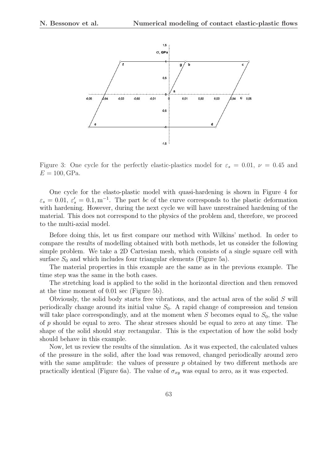

Figure 3: One cycle for the perfectly elastic-plastics model for  $\varepsilon_s = 0.01$ ,  $\nu = 0.45$  and  $E = 100$ , GPa.

One cycle for the elasto-plastic model with quasi-hardening is shown in Figure 4 for  $\varepsilon_s = 0.01, \ \varepsilon_s' = 0.1, \text{m}^{-1}$ . The part bc of the curve corresponds to the plastic deformation with hardening. However, during the next cycle we will have unrestrained hardening of the material. This does not correspond to the physics of the problem and, therefore, we proceed to the multi-axial model.

Before doing this, let us first compare our method with Wilkins' method. In order to compare the results of modelling obtained with both methods, let us consider the following simple problem. We take a 2D Cartesian mesh, which consists of a single square cell with surface  $S_0$  and which includes four triangular elements (Figure 5a).

The material properties in this example are the same as in the previous example. The time step was the same in the both cases.

The stretching load is applied to the solid in the horizontal direction and then removed at the time moment of 0.01 sec (Figure 5b).

Obviously, the solid body starts free vibrations, and the actual area of the solid S will periodically change around its initial value  $S_0$ . A rapid change of compression and tension will take place correspondingly, and at the moment when  $S$  becomes equal to  $S_0$ , the value of p should be equal to zero. The shear stresses should be equal to zero at any time. The shape of the solid should stay rectangular. This is the expectation of how the solid body should behave in this example.

Now, let us review the results of the simulation. As it was expected, the calculated values of the pressure in the solid, after the load was removed, changed periodically around zero with the same amplitude: the values of pressure  $p$  obtained by two different methods are practically identical (Figure 6a). The value of  $\sigma_{xy}$  was equal to zero, as it was expected.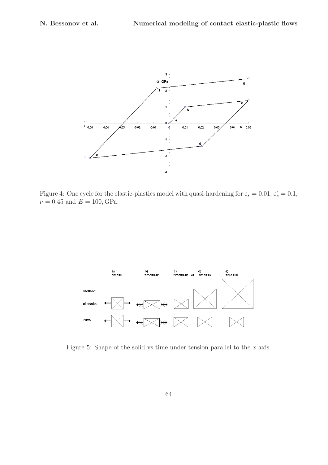

Figure 4: One cycle for the elastic-plastics model with quasi-hardening for  $\varepsilon_s = 0.01$ ,  $\varepsilon_s' = 0.1$ ,  $\nu = 0.45$  and  $E = 100$ , GPa.



Figure 5: Shape of the solid vs time under tension parallel to the  $x$  axis.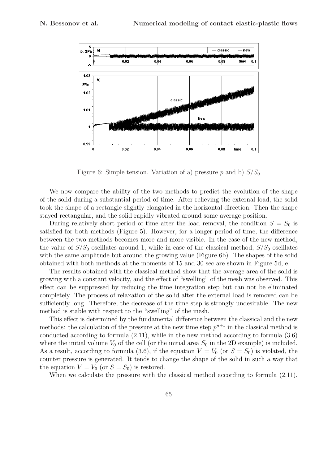

Figure 6: Simple tension. Variation of a) pressure p and b)  $S/S_0$ 

We now compare the ability of the two methods to predict the evolution of the shape of the solid during a substantial period of time. After relieving the external load, the solid took the shape of a rectangle slightly elongated in the horizontal direction. Then the shape stayed rectangular, and the solid rapidly vibrated around some average position.

During relatively short period of time after the load removal, the condition  $S = S_0$  is satisfied for both methods (Figure 5). However, for a longer period of time, the difference between the two methods becomes more and more visible. In the case of the new method, the value of  $S/S_0$  oscillates around 1, while in case of the classical method,  $S/S_0$  oscillates with the same amplitude but around the growing value (Figure 6b). The shapes of the solid obtained with both methods at the moments of 15 and 30 sec are shown in Figure 5d, e.

The results obtained with the classical method show that the average area of the solid is growing with a constant velocity, and the effect of "swelling" of the mesh was observed. This effect can be suppressed by reducing the time integration step but can not be eliminated completely. The process of relaxation of the solid after the external load is removed can be sufficiently long. Therefore, the decrease of the time step is strongly undesirable. The new method is stable with respect to the "swelling" of the mesh.

This effect is determined by the fundamental difference between the classical and the new methods: the calculation of the pressure at the new time step  $p^{n+1}$  in the classical method is conducted according to formula (2.11), while in the new method according to formula (3.6) where the initial volume  $V_0$  of the cell (or the initial area  $S_0$  in the 2D example) is included. As a result, according to formula (3.6), if the equation  $V = V_0$  (or  $S = S_0$ ) is violated, the counter pressure is generated. It tends to change the shape of the solid in such a way that the equation  $V = V_0$  (or  $S = S_0$ ) is restored.

When we calculate the pressure with the classical method according to formula (2.11),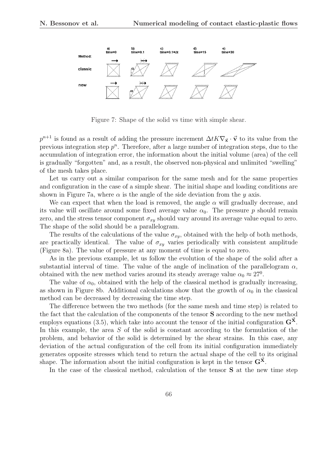

Figure 7: Shape of the solid vs time with simple shear.

 $p^{n+1}$  is found as a result of adding the pressure increment  $\Delta t K \nabla_{\vec{x}} \cdot \vec{v}$  to its value from the previous integration step  $p^n$ . Therefore, after a large number of integration steps, due to the accumulation of integration error, the information about the initial volume (area) of the cell is gradually "forgotten" and, as a result, the observed non-physical and unlimited "swelling" of the mesh takes place.

Let us carry out a similar comparison for the same mesh and for the same properties and configuration in the case of a simple shear. The initial shape and loading conditions are shown in Figure 7a, where  $\alpha$  is the angle of the side deviation from the y axis.

We can expect that when the load is removed, the angle  $\alpha$  will gradually decrease, and its value will oscillate around some fixed average value  $\alpha_0$ . The pressure p should remain zero, and the stress tensor component  $\sigma_{xy}$  should vary around its average value equal to zero. The shape of the solid should be a parallelogram.

The results of the calculations of the value  $\sigma_{xy}$ , obtained with the help of both methods, are practically identical. The value of  $\sigma_{xy}$  varies periodically with consistent amplitude (Figure 8a). The value of pressure at any moment of time is equal to zero.

As in the previous example, let us follow the evolution of the shape of the solid after a substantial interval of time. The value of the angle of inclination of the parallelogram  $\alpha$ , obtained with the new method varies around its steady average value  $\alpha_0 \approx 27^0$ .

The value of  $\alpha_0$ , obtained with the help of the classical method is gradually increasing, as shown in Figure 8b. Additional calculations show that the growth of  $\alpha_0$  in the classical method can be decreased by decreasing the time step.

The difference between the two methods (for the same mesh and time step) is related to the fact that the calculation of the components of the tensor S according to the new method employs equations (3.5), which take into account the tensor of the initial configuration  $G^{\vec{X}}$ . In this example, the area S of the solid is constant according to the formulation of the problem, and behavior of the solid is determined by the shear strains. In this case, any deviation of the actual configuration of the cell from its initial configuration immediately generates opposite stresses which tend to return the actual shape of the cell to its original shape. The information about the initial configuration is kept in the tensor  $G^{\vec{X}}$ .

In the case of the classical method, calculation of the tensor **S** at the new time step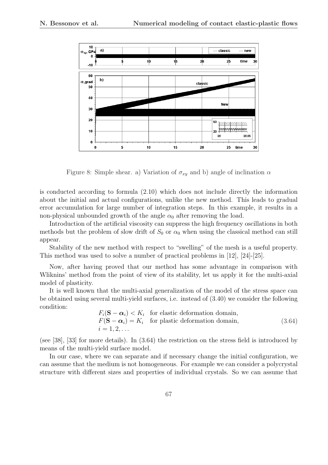

Figure 8: Simple shear. a) Variation of  $\sigma_{xy}$  and b) angle of inclination  $\alpha$ 

is conducted according to formula (2.10) which does not include directly the information about the initial and actual configurations, unlike the new method. This leads to gradual error accumulation for large number of integration steps. In this example, it results in a non-physical unbounded growth of the angle  $\alpha_0$  after removing the load.

Introduction of the artificial viscosity can suppress the high frequency oscillations in both methods but the problem of slow drift of  $S_0$  or  $\alpha_0$  when using the classical method can still appear.

Stability of the new method with respect to "swelling" of the mesh is a useful property. This method was used to solve a number of practical problems in [12], [24]-[25].

Now, after having proved that our method has some advantage in comparison with Wliknins' method from the point of view of its stability, let us apply it for the multi-axial model of plasticity.

It is well known that the multi-axial generalization of the model of the stress space can be obtained using several multi-yield surfaces, i.e. instead of (3.40) we consider the following condition:

$$
F_i(\mathbf{S} - \alpha_i) < K_i \quad \text{for elastic deformation domain,}
$$
\n
$$
F(\mathbf{S} - \alpha_i) = K_i \quad \text{for plastic deformation domain,}
$$
\n
$$
i = 1, 2, \dots
$$
\n
$$
(3.64)
$$

(see [38], [33] for more details). In (3.64) the restriction on the stress field is introduced by means of the multi-yield surface model.

In our case, where we can separate and if necessary change the initial configuration, we can assume that the medium is not homogeneous. For example we can consider a polycrystal structure with different sizes and properties of individual crystals. So we can assume that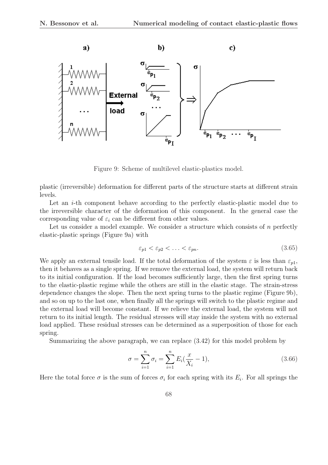

Figure 9: Scheme of multilevel elastic-plastics model.

plastic (irreversible) deformation for different parts of the structure starts at different strain levels.

Let an  $i$ -th component behave according to the perfectly elastic-plastic model due to the irreversible character of the deformation of this component. In the general case the corresponding value of  $\varepsilon_i$  can be different from other values.

Let us consider a model example. We consider a structure which consists of  $n$  perfectly elastic-plastic springs (Figure 9a) with

$$
\varepsilon_{p1} < \varepsilon_{p2} < \ldots < \varepsilon_{pn}.\tag{3.65}
$$

We apply an external tensile load. If the total deformation of the system  $\varepsilon$  is less than  $\varepsilon_{p1}$ , then it behaves as a single spring. If we remove the external load, the system will return back to its initial configuration. If the load becomes sufficiently large, then the first spring turns to the elastic-plastic regime while the others are still in the elastic stage. The strain-stress dependence changes the slope. Then the next spring turns to the plastic regime (Figure 9b), and so on up to the last one, when finally all the springs will switch to the plastic regime and the external load will become constant. If we relieve the external load, the system will not return to its initial length. The residual stresses will stay inside the system with no external load applied. These residual stresses can be determined as a superposition of those for each spring.

Summarizing the above paragraph, we can replace (3.42) for this model problem by

$$
\sigma = \sum_{i=1}^{n} \sigma_i = \sum_{i=1}^{n} E_i(\frac{x}{X_i} - 1), \qquad (3.66)
$$

Here the total force  $\sigma$  is the sum of forces  $\sigma_i$  for each spring with its  $E_i$ . For all springs the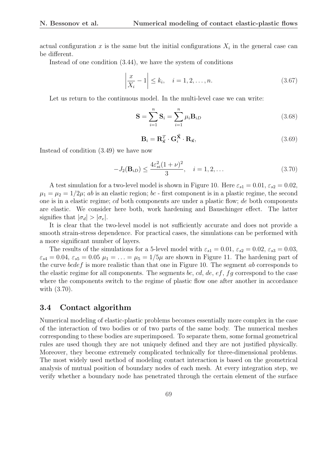actual configuration x is the same but the initial configurations  $X_i$  in the general case can be different.

Instead of one condition (3.44), we have the system of conditions

$$
\left|\frac{x}{X_i} - 1\right| \le k_i, \quad i = 1, 2, \dots, n. \tag{3.67}
$$

Let us return to the continuous model. In the multi-level case we can write:

$$
\mathbf{S} = \sum_{i=1}^{n} \mathbf{S}_i = \sum_{i=1}^{n} \mu_i \mathbf{B}_{iD}
$$
\n(3.68)

$$
\mathbf{B}_{i} = \mathbf{R}_{\vec{\mathbf{x}}}^{T} \cdot \mathbf{G}_{i}^{\vec{\mathbf{X}}} \cdot \mathbf{R}_{\vec{\mathbf{x}}},\tag{3.69}
$$

Instead of condition (3.49) we have now

$$
-J_2(\mathbf{B}_{iD}) \le \frac{4\varepsilon_{si}^2 (1+\nu)^2}{3}, \quad i = 1, 2, \dots
$$
 (3.70)

A test simulation for a two-level model is shown in Figure 10. Here  $\varepsilon_{s1} = 0.01$ ,  $\varepsilon_{s2} = 0.02$ ,  $\mu_1 = \mu_2 = 1/2\mu$ ; ab is an elastic region; bc - first component is in a plastic regime, the second one is in a elastic regime; cd both components are under a plastic flow; de both components are elastic. We consider here both, work hardening and Bauschinger effect. The latter signifies that  $|\sigma_d| > |\sigma_e|$ .

It is clear that the two-level model is not sufficiently accurate and does not provide a smooth strain-stress dependence. For practical cases, the simulations can be performed with a more significant number of layers.

The results of the simulations for a 5-level model with  $\varepsilon_{s1} = 0.01$ ,  $\varepsilon_{s2} = 0.02$ ,  $\varepsilon_{s3} = 0.03$ ,  $\varepsilon_{s4} = 0.04$ ,  $\varepsilon_{s5} = 0.05$   $\mu_1 = \ldots = \mu_5 = 1/5\mu$  are shown in Figure 11. The hardening part of the curve bcdef is more realistic than that one in Figure 10. The segment ab corresponds to the elastic regime for all components. The segments bc, cd, de, ef, fg correspond to the case where the components switch to the regime of plastic flow one after another in accordance with (3.70).

#### 3.4 Contact algorithm

Numerical modeling of elastic-plastic problems becomes essentially more complex in the case of the interaction of two bodies or of two parts of the same body. The numerical meshes corresponding to these bodies are superimposed. To separate them, some formal geometrical rules are used though they are not uniquely defined and they are not justified physically. Moreover, they become extremely complicated technically for three-dimensional problems. The most widely used method of modeling contact interaction is based on the geometrical analysis of mutual position of boundary nodes of each mesh. At every integration step, we verify whether a boundary node has penetrated through the certain element of the surface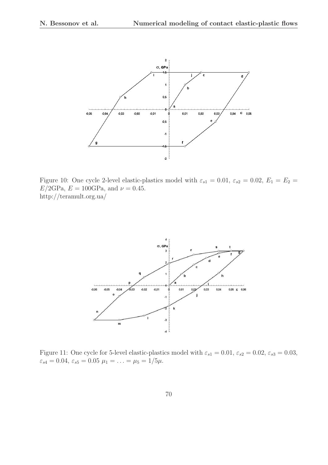

Figure 10: One cycle 2-level elastic-plastics model with  $\varepsilon_{s1} = 0.01$ ,  $\varepsilon_{s2} = 0.02$ ,  $E_1 = E_2 =$  $E/2GPa, E = 100GPa, and \nu = 0.45.$ http://teramult.org.ua/



Figure 11: One cycle for 5-level elastic-plastics model with  $\varepsilon_{s1} = 0.01$ ,  $\varepsilon_{s2} = 0.02$ ,  $\varepsilon_{s3} = 0.03$ ,  $\varepsilon_{s4} = 0.04, \, \varepsilon_{s5} = 0.05 \, \mu_1 = \ldots = \mu_5 = 1/5\mu.$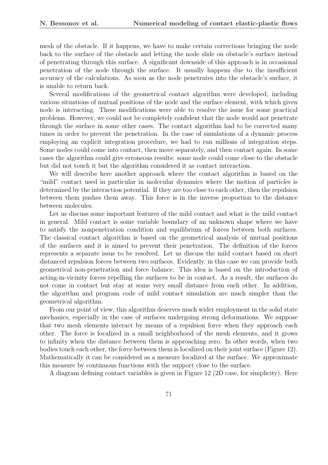mesh of the obstacle. If it happens, we have to make certain corrections bringing the node back to the surface of the obstacle and letting the node slide on obstacle's surface instead of penetrating through this surface. A significant downside of this approach is in occasional penetration of the node through the surface. It usually happens due to the insufficient accuracy of the calculations. As soon as the node penetrates into the obstacle's surface, it is unable to return back.

Several modifications of the geometrical contact algorithm were developed, including various situations of mutual positions of the node and the surface element, with which given node is interacting. These modifications were able to resolve the issue for some practical problems. However, we could not be completely confident that the node would not penetrate through the surface in some other cases. The contact algorithm had to be corrected many times in order to prevent the penetration. In the case of simulations of a dynamic process employing an explicit integration procedure, we had to run millions of integration steps. Some nodes could come into contact, then move separately, and then contact again. In some cases the algorithm could give erroneous results: some node could come close to the obstacle but did not touch it but the algorithm considered it as contact interaction.

We will describe here another approach where the contact algorithm is based on the "mild" contact used in particular in molecular dynamics where the motion of particles is determined by the interaction potential. If they are too close to each other, then the repulsion between them pushes them away. This force is in the inverse proportion to the distance between molecules.

Let us discuss some important features of the mild contact and what is the mild contact in general. Mild contact is some variable boundary of an unknown shape where we have to satisfy the nonpenetration condition and equilibrium of forces between both surfaces. The classical contact algorithm is based on the geometrical analysis of mutual positions of the surfaces and it is aimed to prevent their penetration. The definition of the forces represents a separate issue to be resolved. Let us discuss the mild contact based on short distanced repulsion forces between two surfaces. Evidently, in this case we can provide both geometrical non-penetration and force balance. This idea is based on the introduction of acting-in-vicinity forces repelling the surfaces to be in contact. As a result, the surfaces do not come in contact but stay at some very small distance from each other. In addition, the algorithm and program code of mild contact simulation are much simpler than the geometrical algorithm.

From our point of view, this algorithm deserves much wider employment in the solid state mechanics, especially in the case of surfaces undergoing strong deformations. We suppose that two mesh elements interact by means of a repulsion force when they approach each other. The force is localized in a small neighborhood of the mesh elements, and it grows to infinity when the distance between them is approaching zero. In other words, when two bodies touch each other, the force between them is localized on their joint surface (Figure 12). Mathematically it can be considered as a measure localized at the surface. We approximate this measure by continuous functions with the support close to the surface.

A diagram defining contact variables is given in Figure 12 (2D case, for simplicity). Here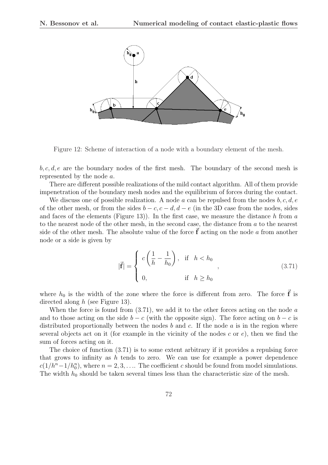

Figure 12: Scheme of interaction of a node with a boundary element of the mesh.

 $b, c, d, e$  are the boundary nodes of the first mesh. The boundary of the second mesh is represented by the node a.

There are different possible realizations of the mild contact algorithm. All of them provide impenetration of the boundary mesh nodes and the equilibrium of forces during the contact.

We discuss one of possible realization. A node a can be repulsed from the nodes  $b, c, d, e$ of the other mesh, or from the sides  $b - c, c - d, d - e$  (in the 3D case from the nodes, sides and faces of the elements (Figure 13)). In the first case, we measure the distance h from  $a$ to the nearest node of the other mesh, in the second case, the distance from a to the nearest side of the other mesh. The absolute value of the force  $f$  acting on the node a from another node or a side is given by

$$
|\vec{\mathbf{f}}| = \begin{cases} c\left(\frac{1}{h} - \frac{1}{h_0}\right), & \text{if } h < h_0 \\ 0, & \text{if } h \ge h_0 \end{cases}
$$
 (3.71)

where  $h_0$  is the width of the zone where the force is different from zero. The force  $\vec{f}$  is directed along h (see Figure 13).

When the force is found from  $(3.71)$ , we add it to the other forces acting on the node a and to those acting on the side  $b - c$  (with the opposite sign). The force acting on  $b - c$  is distributed proportionally between the nodes b and c. If the node a is in the region where several objects act on it (for example in the vicinity of the nodes  $c$  or  $e$ ), then we find the sum of forces acting on it.

The choice of function (3.71) is to some extent arbitrary if it provides a repulsing force that grows to infinity as  $h$  tends to zero. We can use for example a power dependence  $c(1/h^n - 1/h_0^n)$ , where  $n = 2, 3, \ldots$  The coefficient c should be found from model simulations. The width  $h_0$  should be taken several times less than the characteristic size of the mesh.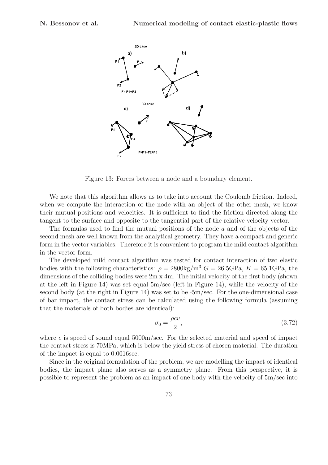

Figure 13: Forces between a node and a boundary element.

We note that this algorithm allows us to take into account the Coulomb friction. Indeed, when we compute the interaction of the node with an object of the other mesh, we know their mutual positions and velocities. It is sufficient to find the friction directed along the tangent to the surface and opposite to the tangential part of the relative velocity vector.

The formulas used to find the mutual positions of the node a and of the objects of the second mesh are well known from the analytical geometry. They have a compact and generic form in the vector variables. Therefore it is convenient to program the mild contact algorithm in the vector form.

The developed mild contact algorithm was tested for contact interaction of two elastic bodies with the following characteristics:  $\rho = 2800 \text{kg/m}^3$   $G = 26.5 \text{GPa}$ ,  $K = 65.1 \text{GPa}$ , the dimensions of the colliding bodies were 2m x 4m. The initial velocity of the first body (shown at the left in Figure 14) was set equal 5m/sec (left in Figure 14), while the velocity of the second body (at the right in Figure 14) was set to be -5m/sec. For the one-dimensional case of bar impact, the contact stress can be calculated using the following formula (assuming that the materials of both bodies are identical):

$$
\sigma_0 = \frac{\rho c v}{2},\tag{3.72}
$$

where c is speed of sound equal  $5000m/sec$ . For the selected material and speed of impact the contact stress is 70MPa, which is below the yield stress of chosen material. The duration of the impact is equal to 0.0016sec.

Since in the original formulation of the problem, we are modelling the impact of identical bodies, the impact plane also serves as a symmetry plane. From this perspective, it is possible to represent the problem as an impact of one body with the velocity of 5m/sec into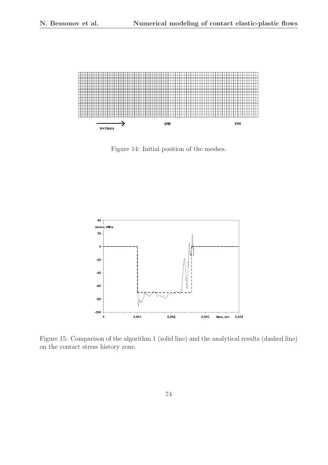

Figure 14: Initial position of the meshes.



Figure 15: Comparison of the algorithm 1 (solid line) and the analytical results (dashed line) on the contact stress history zone.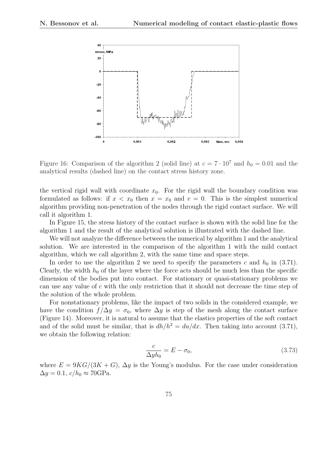

Figure 16: Comparison of the algorithm 2 (solid line) at  $c = 7 \cdot 10^7$  and  $h_0 = 0.01$  and the analytical results (dashed line) on the contact stress history zone.

the vertical rigid wall with coordinate  $x_0$ . For the rigid wall the boundary condition was formulated as follows: if  $x < x_0$  then  $x = x_0$  and  $v = 0$ . This is the simplest numerical algorithm providing non-penetration of the nodes through the rigid contact surface. We will call it algorithm 1.

In Figure 15, the stress history of the contact surface is shown with the solid line for the algorithm 1 and the result of the analytical solution is illustrated with the dashed line.

We will not analyze the difference between the numerical by algorithm 1 and the analytical solution. We are interested in the comparison of the algorithm 1 with the mild contact algorithm, which we call algorithm 2, with the same time and space steps.

In order to use the algorithm 2 we need to specify the parameters c and  $h_0$  in (3.71). Clearly, the width  $h_0$  of the layer where the force acts should be much less than the specific dimension of the bodies put into contact. For stationary or quasi-stationary problems we can use any value of c with the only restriction that it should not decrease the time step of the solution of the whole problem.

For nonstationary problems, like the impact of two solids in the considered example, we have the condition  $f/\Delta y = \sigma_0$ , where  $\Delta y$  is step of the mesh along the contact surface (Figure 14). Moreover, it is natural to assume that the elastics properties of the soft contact and of the solid must be similar, that is  $dh/h^2 = du/dx$ . Then taking into account (3.71), we obtain the following relation:

$$
\frac{c}{\Delta y h_0} = E - \sigma_0,\tag{3.73}
$$

where  $E = 9KG/(3K + G)$ ,  $\Delta y$  is the Young's modulus. For the case under consideration  $\Delta y = 0.1, c/h_0 \approx 70 \text{GPa}.$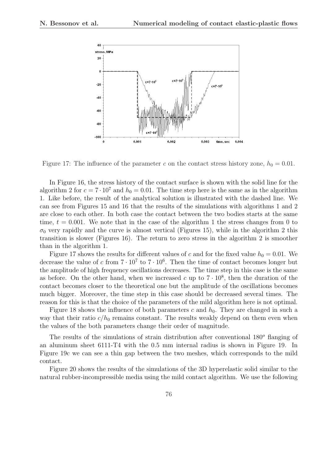

Figure 17: The influence of the parameter c on the contact stress history zone,  $h_0 = 0.01$ .

In Figure 16, the stress history of the contact surface is shown with the solid line for the algorithm 2 for  $c = 7 \cdot 10^7$  and  $h_0 = 0.01$ . The time step here is the same as in the algorithm 1. Like before, the result of the analytical solution is illustrated with the dashed line. We can see from Figures 15 and 16 that the results of the simulations with algorithms 1 and 2 are close to each other. In both case the contact between the two bodies starts at the same time,  $t = 0.001$ . We note that in the case of the algorithm 1 the stress changes from 0 to  $\sigma_0$  very rapidly and the curve is almost vertical (Figures 15), while in the algorithm 2 this transition is slower (Figures 16). The return to zero stress in the algorithm 2 is smoother than in the algorithm 1.

Figure 17 shows the results for different values of c and for the fixed value  $h_0 = 0.01$ . We decrease the value of c from  $7 \cdot 10^7$  to  $7 \cdot 10^6$ . Then the time of contact becomes longer but the amplitude of high frequency oscillations decreases. The time step in this case is the same as before. On the other hand, when we increased c up to  $7 \cdot 10^8$ , then the duration of the contact becomes closer to the theoretical one but the amplitude of the oscillations becomes much bigger. Moreover, the time step in this case should be decreased several times. The reason for this is that the choice of the parameters of the mild algorithm here is not optimal.

Figure 18 shows the influence of both parameters c and  $h_0$ . They are changed in such a way that their ratio  $c/h_0$  remains constant. The results weakly depend on them even when the values of the both parameters change their order of magnitude.

The results of the simulations of strain distribution after conventional  $180^\circ$  flanging of an aluminum sheet 6111-T4 with the 0.5 mm internal radius is shown in Figure 19. In Figure 19c we can see a thin gap between the two meshes, which corresponds to the mild contact.

Figure 20 shows the results of the simulations of the 3D hyperelastic solid similar to the natural rubber-incompressible media using the mild contact algorithm. We use the following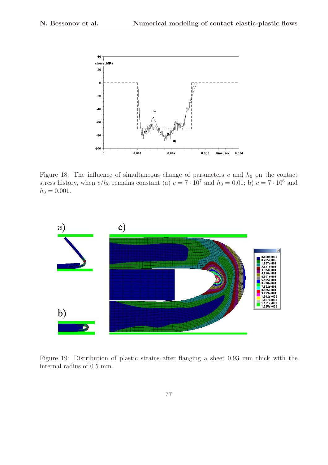

Figure 18: The influence of simultaneous change of parameters  $c$  and  $h_0$  on the contact stress history, when  $c/h_0$  remains constant (a)  $c = 7 \cdot 10^7$  and  $h_0 = 0.01$ ; b)  $c = 7 \cdot 10^6$  and  $h_0 = 0.001.$ 



Figure 19: Distribution of plastic strains after flanging a sheet 0.93 mm thick with the internal radius of 0.5 mm.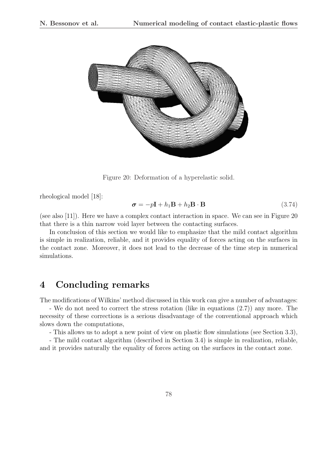

Figure 20: Deformation of a hyperelastic solid.

rheological model [18]:

$$
\boldsymbol{\sigma} = -p\mathbf{I} + h_1 \mathbf{B} + h_2 \mathbf{B} \cdot \mathbf{B} \tag{3.74}
$$

(see also [11]). Here we have a complex contact interaction in space. We can see in Figure 20 that there is a thin narrow void layer between the contacting surfaces.

In conclusion of this section we would like to emphasize that the mild contact algorithm is simple in realization, reliable, and it provides equality of forces acting on the surfaces in the contact zone. Moreover, it does not lead to the decrease of the time step in numerical simulations.

### 4 Concluding remarks

The modifications of Wilkins' method discussed in this work can give a number of advantages:

- We do not need to correct the stress rotation (like in equations (2.7)) any more. The necessity of these corrections is a serious disadvantage of the conventional approach which slows down the computations,

- This allows us to adopt a new point of view on plastic flow simulations (see Section 3.3),

- The mild contact algorithm (described in Section 3.4) is simple in realization, reliable, and it provides naturally the equality of forces acting on the surfaces in the contact zone.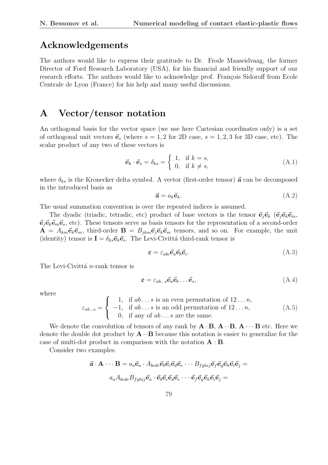### Acknowledgements

The authors would like to express their gratitude to Dr. Frode Maaseidvaag, the former Director of Ford Research Laboratory (USA), for his financial and friendly support of our research efforts. The authors would like to acknowledge prof. François Sidoroff from Ecole Centrale de Lyon (France) for his help and many useful discussions.

### A Vector/tensor notation

An orthogonal basis for the vector space (we use here Cartesian coordinates only) is a set of orthogonal unit vectors  $\vec{e}_s$  (where  $s = 1, 2$  for 2D case,  $s = 1, 2, 3$  for 3D case, etc). The scalar product of any two of these vectors is

$$
\vec{\mathbf{e}}_k \cdot \vec{\mathbf{e}}_s = \delta_{ks} = \begin{cases} 1, & \text{if } k = s, \\ 0, & \text{if } k \neq s, \end{cases} \tag{A.1}
$$

where  $\delta_{ks}$  is the Kronecker delta symbol. A vector (first-order tensor)  $\vec{a}$  can be decomposed in the introduced basis as

$$
\vec{\mathbf{a}} = a_k \vec{\mathbf{e}}_k. \tag{A.2}
$$

The usual summation convention is over the repeated indices is assumed.

The dyadic (triadic, tetradic, etc) product of base vectors is the tensor  $\vec{e}_i \vec{e}_k$  ( $\vec{e}_i \vec{e}_k \vec{e}_m$ ,  $\vec{\mathbf{e}}_i\vec{\mathbf{e}}_k\vec{\mathbf{e}}_m\vec{\mathbf{e}}_s$ , etc). These tensors serve as basis tensors for the representation of a second-order  $\mathbf{A} = A_{km}\vec{\mathbf{e}}_k\vec{\mathbf{e}}_m$ , third-order  $\mathbf{B} = B_{jkm}\vec{\mathbf{e}}_j\vec{\mathbf{e}}_k\vec{\mathbf{e}}_m$  tensors, and so on. For example, the unit (identity) tensor is  $I = \delta_{ks} \vec{e}_k \vec{e}_s$ . The Levi-Civittá third-rank tensor is

$$
\boldsymbol{\varepsilon} = \varepsilon_{abc} \vec{\mathbf{e}}_a \vec{\mathbf{e}}_b \vec{\mathbf{e}}_c. \tag{A.3}
$$

The Levi-Civittá  $n$ -rank tensor is

$$
\boldsymbol{\varepsilon} = \varepsilon_{ab...s} \vec{\mathbf{e}}_a \vec{\mathbf{e}}_b \dots \vec{\mathbf{e}}_s,\tag{A.4}
$$

where

$$
\varepsilon_{ab\ldots s} = \begin{cases}\n1, & \text{if } ab \ldots s \text{ is an even permutation of } 12 \ldots n, \\
-1, & \text{if } ab \ldots s \text{ is an odd permutation of } 12 \ldots n, \\
0, & \text{if any of } ab \ldots s \text{ are the same.} \n\end{cases} \tag{A.5}
$$

We denote the convolution of tensors of any rank by  $\mathbf{A} \cdot \mathbf{B}$ ,  $\mathbf{A} \cdot \cdot \mathbf{B}$ ,  $\mathbf{A} \cdot \cdot \cdot \mathbf{B}$  etc. Here we denote the double dot product by  $\mathbf{A} \cdot \mathbf{B}$  because this notation is easier to generalize for the case of multi-dot product in comparison with the notation A : B.

Consider two examples:

$$
\vec{\mathbf{a}} \cdot \mathbf{A} \cdot \cdot \cdot \mathbf{B} = a_a \vec{\mathbf{e}}_a \cdot A_{bcde} \vec{\mathbf{e}}_b \vec{\mathbf{e}}_c \vec{\mathbf{e}}_d \vec{\mathbf{e}}_e \cdot \cdot \cdot B_{fghij} \vec{\mathbf{e}}_f \vec{\mathbf{e}}_g \vec{\mathbf{e}}_h \vec{\mathbf{e}}_i \vec{\mathbf{e}}_j = a_a A_{bcde} B_{fghij} \vec{\mathbf{e}}_a \cdot \vec{\mathbf{e}}_b \vec{\mathbf{e}}_c \vec{\mathbf{e}}_d \vec{\mathbf{e}}_e \cdot \cdot \cdot \vec{\mathbf{e}}_f \vec{\mathbf{e}}_g \vec{\mathbf{e}}_h \vec{\mathbf{e}}_i \vec{\mathbf{e}}_j =
$$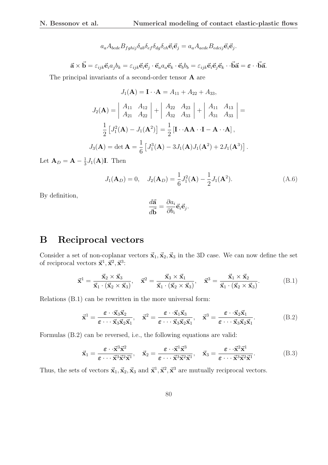$$
a_{a}A_{bcde}B_{fghij}\delta_{ab}\delta_{ef}\delta_{dg}\delta_{ch}\vec{\mathbf{e}}_{i}\vec{\mathbf{e}}_{j}=a_{a}A_{acde}B_{edcij}\vec{\mathbf{e}}_{i}\vec{\mathbf{e}}_{j}.
$$

$$
\vec{\mathbf{a}} \times \vec{\mathbf{b}} = \varepsilon_{ijk} \vec{\mathbf{e}}_i a_j b_k = \varepsilon_{ijk} \vec{\mathbf{e}}_i \vec{\mathbf{e}}_j \cdot \vec{\mathbf{e}}_a a_a \vec{\mathbf{e}}_k \cdot \vec{\mathbf{e}}_b b_b = \varepsilon_{ijk} \vec{\mathbf{e}}_i \vec{\mathbf{e}}_j \vec{\mathbf{e}}_k \cdot \cdot \vec{\mathbf{b}} \vec{\mathbf{a}} = \boldsymbol{\varepsilon} \cdot \cdot \vec{\mathbf{b}} \vec{\mathbf{a}}.
$$

The principal invariants of a second-order tensor A are

$$
J_1(\mathbf{A}) = \mathbf{I} \cdot \mathbf{A} = A_{11} + A_{22} + A_{33},
$$
  
\n
$$
J_2(\mathbf{A}) = \begin{vmatrix} A_{11} & A_{12} \\ A_{21} & A_{22} \end{vmatrix} + \begin{vmatrix} A_{22} & A_{23} \\ A_{32} & A_{33} \end{vmatrix} + \begin{vmatrix} A_{11} & A_{13} \\ A_{31} & A_{33} \end{vmatrix} =
$$
  
\n
$$
\frac{1}{2} [J_1^2(\mathbf{A}) - J_1(\mathbf{A}^2)] = \frac{1}{2} [\mathbf{I} \cdot \mathbf{A} \mathbf{A} \cdot \mathbf{I} - \mathbf{A} \cdot \mathbf{A}],
$$
  
\n
$$
J_3(\mathbf{A}) = \det \mathbf{A} = \frac{1}{6} [J_1^3(\mathbf{A}) - 3J_1(\mathbf{A})J_1(\mathbf{A}^2) + 2J_1(\mathbf{A}^3)].
$$

Let  $\mathbf{A}_D = \mathbf{A} - \frac{1}{3}$  $\frac{1}{3}J_1(\mathbf{A})\mathbf{I}$ . Then

$$
J_1(\mathbf{A}_D) = 0, \quad J_2(\mathbf{A}_D) = \frac{1}{6} J_1^2(\mathbf{A}) - \frac{1}{2} J_1(\mathbf{A}^2).
$$
 (A.6)

By definition,

$$
\frac{d\vec{\mathbf{a}}}{d\vec{\mathbf{b}}} = \frac{\partial a_i}{\partial b_i} \vec{\mathbf{e}}_i \vec{\mathbf{e}}_j.
$$

# B Reciprocal vectors

Consider a set of non-coplanar vectors  $\vec{x}_1, \vec{x}_2, \vec{x}_3$  in the 3D case. We can now define the set of reciprocal vectors  $\vec{x}^1, \vec{x}^2, \vec{x}^3$ :

$$
\vec{\mathbf{x}}^1 = \frac{\vec{\mathbf{x}}_2 \times \vec{\mathbf{x}}_3}{\vec{\mathbf{x}}_1 \cdot (\vec{\mathbf{x}}_2 \times \vec{\mathbf{x}}_3)}, \quad \vec{\mathbf{x}}^2 = \frac{\vec{\mathbf{x}}_3 \times \vec{\mathbf{x}}_1}{\vec{\mathbf{x}}_1 \cdot (\vec{\mathbf{x}}_2 \times \vec{\mathbf{x}}_3)}, \quad \vec{\mathbf{x}}^3 = \frac{\vec{\mathbf{x}}_1 \times \vec{\mathbf{x}}_2}{\vec{\mathbf{x}}_1 \cdot (\vec{\mathbf{x}}_2 \times \vec{\mathbf{x}}_3)}.
$$
(B.1)

Relations (B.1) can be rewritten in the more universal form:

$$
\vec{\mathbf{x}}^1 = \frac{\varepsilon \cdot \vec{\mathbf{x}}_3 \vec{\mathbf{x}}_2}{\varepsilon \cdot \cdot \cdot \vec{\mathbf{x}}_3 \vec{\mathbf{x}}_2 \vec{\mathbf{x}}_1}, \quad \vec{\mathbf{x}}^2 = \frac{\varepsilon \cdot \vec{\mathbf{x}}_1 \vec{\mathbf{x}}_3}{\varepsilon \cdot \cdot \cdot \vec{\mathbf{x}}_3 \vec{\mathbf{x}}_2 \vec{\mathbf{x}}_1}, \quad \vec{\mathbf{x}}^3 = \frac{\varepsilon \cdot \vec{\mathbf{x}}_2 \vec{\mathbf{x}}_1}{\varepsilon \cdot \cdot \cdot \vec{\mathbf{x}}_3 \vec{\mathbf{x}}_2 \vec{\mathbf{x}}_1}.
$$
(B.2)

Formulas (B.2) can be reversed, i.e., the following equations are valid:

$$
\vec{\mathbf{x}}_1 = \frac{\varepsilon \cdot \vec{\mathbf{x}}^3 \vec{\mathbf{x}}^2}{\varepsilon \cdot \cdot \vec{\mathbf{x}}^3 \vec{\mathbf{x}}^2 \vec{\mathbf{x}}^1}, \quad \vec{\mathbf{x}}_2 = \frac{\varepsilon \cdot \vec{\mathbf{x}}^1 \vec{\mathbf{x}}^3}{\varepsilon \cdot \cdot \vec{\mathbf{x}}^3 \vec{\mathbf{x}}^2 \vec{\mathbf{x}}^1}, \quad \vec{\mathbf{x}}_3 = \frac{\varepsilon \cdot \vec{\mathbf{x}}^2 \vec{\mathbf{x}}^1}{\varepsilon \cdot \cdot \vec{\mathbf{x}}^3 \vec{\mathbf{x}}^2 \vec{\mathbf{x}}^1}.
$$
(B.3)

Thus, the sets of vectors  $\vec{x}_1, \vec{x}_2, \vec{x}_3$  and  $\vec{x}^1, \vec{x}^2, \vec{x}^3$  are mutually reciprocal vectors.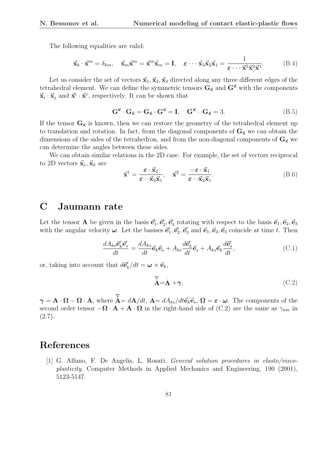The following equalities are valid:

$$
\vec{\mathbf{x}}_k \cdot \vec{\mathbf{x}}^m = \delta_{km}, \quad \vec{\mathbf{x}}_m \vec{\mathbf{x}}^m = \vec{\mathbf{x}}^m \vec{\mathbf{x}}_m = \mathbf{I}, \quad \varepsilon \cdots \vec{\mathbf{x}}_3 \vec{\mathbf{x}}_2 \vec{\mathbf{x}}_1 = \frac{1}{\varepsilon \cdots \vec{\mathbf{x}}^3 \vec{\mathbf{x}}^2 \vec{\mathbf{x}}^1}.
$$
 (B.4)

Let us consider the set of vectors  $\vec{x}_1, \vec{x}_2, \vec{x}_3$  directed along any three different edges of the tetrahedral element. We can define the symmetric tensors  $G_{\vec{x}}$  and  $G^{\vec{x}}$  with the components  $\vec{x}_i \cdot \vec{x}_j$  and  $\vec{x}^i \cdot \vec{x}^j$ , respectively. It can be shown that

$$
\mathbf{G}^{\vec{\mathbf{x}}} \cdot \mathbf{G}_{\vec{\mathbf{x}}} = \mathbf{G}_{\vec{\mathbf{x}}} \cdot \mathbf{G}^{\vec{\mathbf{x}}} = \mathbf{I}, \quad \mathbf{G}^{\vec{\mathbf{x}}} \cdot \mathbf{G}_{\vec{\mathbf{x}}} = 3.
$$
 (B.5)

If the tensor  $G_{\vec{x}}$  is known, then we can restore the geometry of the tetrahedral element up to translation and rotation. In fact, from the diagonal components of  $G_{\vec{x}}$  we can obtain the dimensions of the sides of the tetrahedron, and from the non-diagonal components of  $G_{\vec{x}}$  we can determine the angles between these sides.

We can obtain similar relations in the 2D case. For example, the set of vectors reciprocal to 2D vectors  $\vec{x}_1, \vec{x}_2$  are

$$
\vec{\mathbf{x}}^1 = \frac{\boldsymbol{\varepsilon} \cdot \vec{\mathbf{x}}_2}{\boldsymbol{\varepsilon} \cdot \vec{\mathbf{x}}_2 \vec{\mathbf{x}}_1}, \quad \vec{\mathbf{x}}^2 = \frac{-\boldsymbol{\varepsilon} \cdot \vec{\mathbf{x}}_1}{\boldsymbol{\varepsilon} \cdot \vec{\mathbf{x}}_2 \vec{\mathbf{x}}_1}.
$$
(B.6)

# C Jaumann rate

Let the tensor **A** be given in the basis  $\vec{e}'_1, \vec{e}'_2, \vec{e}'_3$  rotating with respect to the basis  $\vec{e}_1, \vec{e}_2, \vec{e}_3$ with the angular velocity  $\omega$ . Let the basises  $\vec{e}'_1, \vec{e}'_2, \vec{e}'_3$  and  $\vec{e}_1, \vec{e}_2, \vec{e}_3$  coincide at time t. Then

$$
\frac{dA_{ks}\vec{\mathbf{e}}'_{k}\vec{\mathbf{e}}'_{s}}{dt} = \frac{dA_{ks}}{dt}\vec{\mathbf{e}}_{k}\vec{\mathbf{e}}_{s} + A_{ks}\frac{d\vec{\mathbf{e}}'_{k}}{dt}\vec{\mathbf{e}}_{s} + A_{ks}\vec{\mathbf{e}}_{k}\frac{d\vec{\mathbf{e}}'_{s}}{dt},
$$
(C.1)

or, taking into account that  $d\vec{\mathbf{e}}'_k/dt = \boldsymbol{\omega} \times \vec{\mathbf{e}}_k$ ,

$$
\stackrel{\nabla}{\mathbf{A}} = \stackrel{\cdot}{\mathbf{A}} + \gamma,\tag{C.2}
$$

 $\boldsymbol{\gamma} = \mathbf{A} \cdot \mathbf{\Omega} - \mathbf{\Omega} \cdot \mathbf{A}$ , where  $\overline{\mathbf{A}} = d\mathbf{A}/dt$ ,  $\overline{\mathbf{A}} = dA_{ks}/dt\overline{\mathbf{e}}_k\overline{\mathbf{e}}_s$ ,  $\mathbf{\Omega} = \boldsymbol{\varepsilon} \cdot \boldsymbol{\omega}$ . The components of the second order tensor  $-\mathbf{\Omega} \cdot \mathbf{A} + \mathbf{A} \cdot \mathbf{\Omega}$  in the right-hand side of (C.2) are the same as  $\gamma_{nm}$  in  $(2.7).$ 

### References

[1] G. Alfano, F. De Angelis, L. Rosati. General solution procedures in elasto/viscoplasticity. Computer Methods in Applied Mechanics and Engineering, 190 (2001), 5123-5147.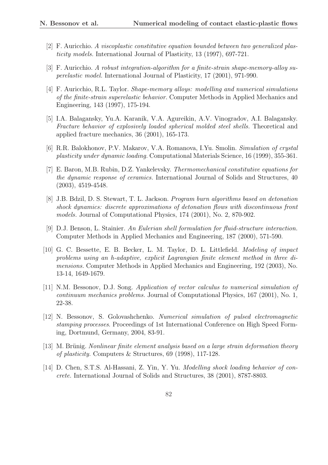- [2] F. Auricchio. A viscoplastic constitutive equation bounded between two generalized plasticity models. International Journal of Plasticity, 13 (1997), 697-721.
- [3] F. Auricchio. A robust integration-algorithm for a finite-strain shape-memory-alloy superelastic model. International Journal of Plasticity, 17 (2001), 971-990.
- [4] F. Auricchio, R.L. Taylor. Shape-memory alloys: modelling and numerical simulations of the finite-strain superelastic behavior. Computer Methods in Applied Mechanics and Engineering, 143 (1997), 175-194.
- [5] I.A. Balagansky, Yu.A. Karanik, V.A. Agureikin, A.V. Vinogradov, A.I. Balagansky. Fracture behavior of explosively loaded spherical molded steel shells. Theoretical and applied fracture mechanics, 36 (2001), 165-173.
- [6] R.R. Balokhonov, P.V. Makarov, V.A. Romanova, I.Yu. Smolin. Simulation of crystal plasticity under dynamic loading. Computational Materials Science, 16 (1999), 355-361.
- [7] E. Baron, M.B. Rubin, D.Z. Yankelevsky. Thermomechanical constitutive equations for the dynamic response of ceramics. International Journal of Solids and Structures, 40 (2003), 4519-4548.
- [8] J.B. Bdzil, D. S. Stewart, T. L. Jackson. Program burn algorithms based on detonation shock dynamics: discrete approximations of detonation flows with discontinuous front models. Journal of Computational Physics, 174 (2001), No. 2, 870-902.
- [9] D.J. Benson, L. Stainier. An Eulerian shell formulation for fluid-structure interaction. Computer Methods in Applied Mechanics and Engineering, 187 (2000), 571-590.
- [10] G. C. Bessette, E. B. Becker, L. M. Taylor, D. L. Littlefield. Modeling of impact problems using an h-adaptive, explicit Lagrangian finite element method in three dimensions. Computer Methods in Applied Mechanics and Engineering, 192 (2003), No. 13-14, 1649-1679.
- [11] N.M. Bessonov, D.J. Song. Application of vector calculus to numerical simulation of continuum mechanics problems. Journal of Computational Physics, 167 (2001), No. 1, 22-38.
- [12] N. Bessonov, S. Golovashchenko. Numerical simulation of pulsed electromagnetic stamping processes. Proceedings of 1st International Conference on High Speed Forming, Dortmund, Germany, 2004, 83-91.
- [13] M. Brünig. Nonlinear finite element analysis based on a large strain deformation theory of plasticity. Computers & Structures, 69 (1998), 117-128.
- [14] D. Chen, S.T.S. Al-Hassani, Z. Yin, Y. Yu. Modelling shock loading behavior of concrete. International Journal of Solids and Structures, 38 (2001), 8787-8803.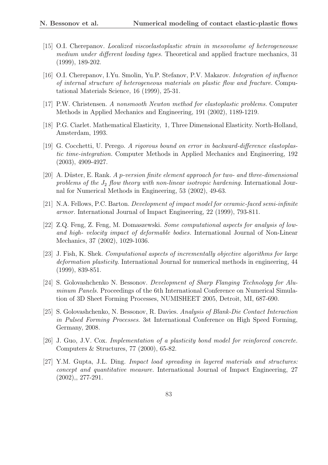- [15] O.I. Cherepanov. Localized viscoelastoplastic strain in mesovolume of heterogeneouse medium under different loading types. Theoretical and applied fracture mechanics, 31 (1999), 189-202.
- [16] O.I. Cherepanov, I.Yu. Smolin, Yu.P. Stefanov, P.V. Makarov. Integration of influence of internal structure of heterogeneous materials on plastic flow and fracture. Computational Materials Science, 16 (1999), 25-31.
- [17] P.W. Christensen. A nonsmooth Newton method for elastoplastic problems. Computer Methods in Applied Mechanics and Engineering, 191 (2002), 1189-1219.
- [18] P.G. Ciarlet. Mathematical Elasticity, 1, Three Dimensional Elasticity. North-Holland, Amsterdam, 1993.
- [19] G. Cocchetti, U. Perego. A rigorous bound on error in backward-difference elastoplastic time-integration. Computer Methods in Applied Mechanics and Engineering, 192 (2003), 4909-4927.
- [20] A. Düster, E. Rank. A p-version finite element approach for two- and three-dimensional problems of the  $J_2$  flow theory with non-linear isotropic hardening. International Journal for Numerical Methods in Engineering, 53 (2002), 49-63.
- [21] N.A. Fellows, P.C. Barton. Development of impact model for ceramic-faced semi-infinite armor. International Journal of Impact Engineering, 22 (1999), 793-811.
- [22] Z.Q. Feng, Z. Feng, M. Domaszewski. Some computational aspects for analysis of lowand high- velocity impact of deformable bodies. International Journal of Non-Linear Mechanics, 37 (2002), 1029-1036.
- [23] J. Fish, K. Shek. Computational aspects of incrementally objective algorithms for large deformation plasticity. International Journal for numerical methods in engineering, 44 (1999), 839-851.
- [24] S. Golovashchenko N. Bessonov. Development of Sharp Flanging Technology for Aluminum Panels. Proceedings of the 6th International Conference on Numerical Simulation of 3D Sheet Forming Processes, NUMISHEET 2005, Detroit, MI, 687-690.
- [25] S. Golovashchenko, N. Bessonov, R. Davies. Analysis of Blank-Die Contact Interaction in Pulsed Forming Processes. 3st International Conference on High Speed Forming, Germany, 2008.
- [26] J. Guo, J.V. Cox. Implementation of a plasticity bond model for reinforced concrete. Computers & Structures, 77 (2000), 65-82.
- [27] Y.M. Gupta, J.L. Ding. Impact load spreading in layered materials and structures: concept and quantitative measure. International Journal of Impact Engineering, 27 (2002),, 277-291.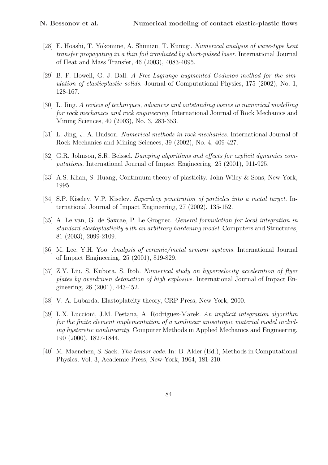- [28] E. Hoashi, T. Yokomine, A. Shimizu, T. Kunugi. Numerical analysis of wave-type heat transfer propagating in a thin foil irradiated by short-pulsed laser. International Journal of Heat and Mass Transfer, 46 (2003), 4083-4095.
- [29] B. P. Howell, G. J. Ball. A Free-Lagrange augmented Godunov method for the simulation of elasticplastic solids. Journal of Computational Physics, 175 (2002), No. 1, 128-167.
- [30] L. Jing. A review of techniques, advances and outstanding issues in numerical modelling for rock mechanics and rock engineering. International Journal of Rock Mechanics and Mining Sciences, 40 (2003), No. 3, 283-353.
- [31] L. Jing, J. A. Hudson. Numerical methods in rock mechanics. International Journal of Rock Mechanics and Mining Sciences, 39 (2002), No. 4, 409-427.
- [32] G.R. Johnson, S.R. Beissel. Damping algorithms and effects for explicit dynamics computations. International Journal of Impact Engineering, 25 (2001), 911-925.
- [33] A.S. Khan, S. Huang, Continuum theory of plasticity. John Wiley & Sons, New-York, 1995.
- [34] S.P. Kiselev, V.P. Kiselev. Superdeep penetration of particles into a metal target. International Journal of Impact Engineering, 27 (2002), 135-152.
- [35] A. Le van, G. de Saxcae, P. Le Grognec. General formulation for local integration in standard elastoplasticity with an arbitrary hardening model. Computers and Structures, 81 (2003), 2099-2109.
- [36] M. Lee, Y.H. Yoo. Analysis of ceramic/metal armour systems. International Journal of Impact Engineering, 25 (2001), 819-829.
- [37] Z.Y. Liu, S. Kubota, S. Itoh. Numerical study on hypervelocity acceleration of flyer plates by overdriven detonation of high explosive. International Journal of Impact Engineering, 26 (2001), 443-452.
- [38] V. A. Lubarda. Elastoplatcity theory, CRP Press, New York, 2000.
- [39] L.X. Luccioni, J.M. Pestana, A. Rodriguez-Marek. An implicit integration algorithm for the finite element implementation of a nonlinear anisotropic material model including hysteretic nonlinearity. Computer Methods in Applied Mechanics and Engineering, 190 (2000), 1827-1844.
- [40] M. Maenchen, S. Sack. The tensor code. In: B. Alder (Ed.), Methods in Computational Physics, Vol. 3, Academic Press, New-York, 1964, 181-210.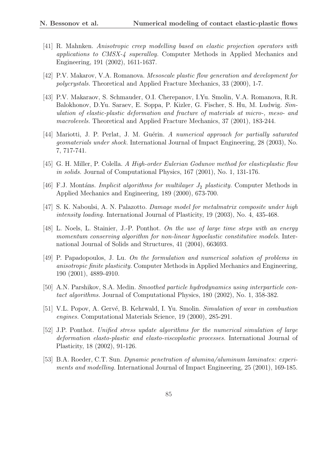- [41] R. Mahnken. Anisotropic creep modelling based on elastic projection operators with applications to CMSX-4 superalloy. Computer Methods in Applied Mechanics and Engineering, 191 (2002), 1611-1637.
- [42] P.V. Makarov, V.A. Romanova. Mesoscale plastic flow generation and development for polycrystals. Theoretical and Applied Fracture Mechanics, 33 (2000), 1-7.
- [43] P.V. Makaraov, S. Schmauder, O.I. Cherepanov, I.Yu. Smolin, V.A. Romanova, R.R. Balokhonov, D.Yu. Saraev, E. Soppa, P. Kizler, G. Fischer, S. Hu, M. Ludwig. Simulation of elastic-plastic deformation and fracture of materials at micro-, meso- and macrolevels. Theoretical and Applied Fracture Mechanics, 37 (2001), 183-244.
- [44] Mariotti, J. P. Perlat, J. M. Guérin. A numerical approach for partially saturated geomaterials under shock. International Journal of Impact Engineering, 28 (2003), No. 7, 717-741.
- [45] G. H. Miller, P. Colella. A High-order Eulerian Godunov method for elasticplastic flow in solids. Journal of Computational Physics, 167 (2001), No. 1, 131-176.
- [46] F.J. Montáns. Implicit algorithms for multilayer  $J_2$  plasticity. Computer Methods in Applied Mechanics and Engineering, 189 (2000), 673-700.
- [47] S. K. Naboulsi, A. N. Palazotto. Damage model for metalmatrix composite under high intensity loading. International Journal of Plasticity, 19 (2003), No. 4, 435-468.
- [48] L. Noels, L. Stainier, J.-P. Ponthot. On the use of large time steps with an energy momentum conserving algorithm for non-linear hypoelastic constitutive models. International Journal of Solids and Structures, 41 (2004), 663693.
- [49] P. Papadopoulos, J. Lu. On the formulation and numerical solution of problems in anisotropic finite plasticity. Computer Methods in Applied Mechanics and Engineering, 190 (2001), 4889-4910.
- [50] A.N. Parshikov, S.A. Medin. Smoothed particle hydrodynamics using interparticle contact algorithms. Journal of Computational Physics, 180 (2002), No. 1, 358-382.
- [51] V.L. Popov, A. Gervé, B. Kehrwald, I. Yu. Smolin. Simulation of wear in combustion engines. Computational Materials Science, 19 (2000), 285-291.
- [52] J.P. Ponthot. Unified stress update algorithms for the numerical simulation of large deformation elasto-plastic and elasto-viscoplastic processes. International Journal of Plasticity, 18 (2002), 91-126.
- [53] B.A. Roeder, C.T. Sun. Dynamic penetration of alumina/aluminum laminates: experiments and modelling. International Journal of Impact Engineering, 25 (2001), 169-185.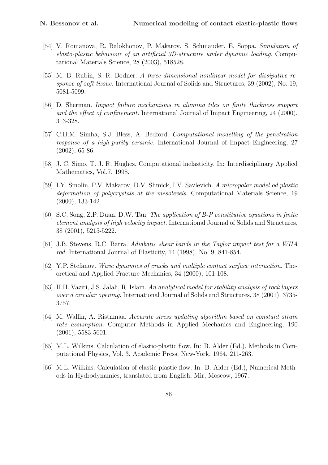- [54] V. Romanova, R. Balokhonov, P. Makarov, S. Schmauder, E. Soppa. Simulation of elasto-plastic behaviour of an artificial 3D-structure under dynamic loading. Computational Materials Science, 28 (2003), 518528.
- [55] M. B. Rubin, S. R. Bodner. A three-dimensional nonlinear model for dissipative response of soft tissue. International Journal of Solids and Structures, 39 (2002), No. 19, 5081-5099.
- [56] D. Sherman. Impact failure mechanisms in alumina tiles on finite thickness support and the effect of confinement. International Journal of Impact Engineering, 24 (2000), 313-328.
- [57] C.H.M. Simha, S.J. Bless, A. Bedford. Computational modelling of the penetration response of a high-purity ceramic. International Journal of Impact Engineering, 27 (2002), 65-86.
- [58] J. C. Simo, T. J. R. Hughes. Computational inelasticity. In: Interdisciplinary Applied Mathematics, Vol.7, 1998.
- [59] I.Y. Smolin, P.V. Makarov, D.V. Shmick, I.V. Savlevich. A micropolar model od plastic deformation of polycrystals at the mesolevels. Computational Materials Science, 19 (2000), 133-142.
- [60] S.C. Song, Z.P. Duan, D.W. Tan. The application of B-P constitutive equations in finite element analysis of high velocity impact. International Journal of Solids and Structures, 38 (2001), 5215-5222.
- [61] J.B. Stevens, R.C. Batra. Adiabatic shear bands in the Taylor impact test for a WHA rod. International Journal of Plasticity, 14 (1998), No. 9, 841-854.
- [62] Y.P. Stefanov. Wave dynamics of cracks and multiple contact surface interaction. Theoretical and Applied Fracture Mechanics, 34 (2000), 101-108.
- [63] H.H. Vaziri, J.S. Jalali, R. Islam. An analytical model for stability analysis of rock layers over a circular opening. International Journal of Solids and Structures, 38 (2001), 3735- 3757.
- [64] M. Wallin, A. Ristnmaa. Accurate stress updating algorithm based on constant strain rate assumption. Computer Methods in Applied Mechanics and Engineering, 190 (2001), 5583-5601.
- [65] M.L. Wilkins. Calculation of elastic-plastic flow. In: B. Alder (Ed.), Methods in Computational Physics, Vol. 3, Academic Press, New-York, 1964, 211-263.
- [66] M.L. Wilkins. Calculation of elastic-plastic flow. In: B. Alder (Ed.), Numerical Methods in Hydrodynamics, translated from English, Mir, Moscow, 1967.